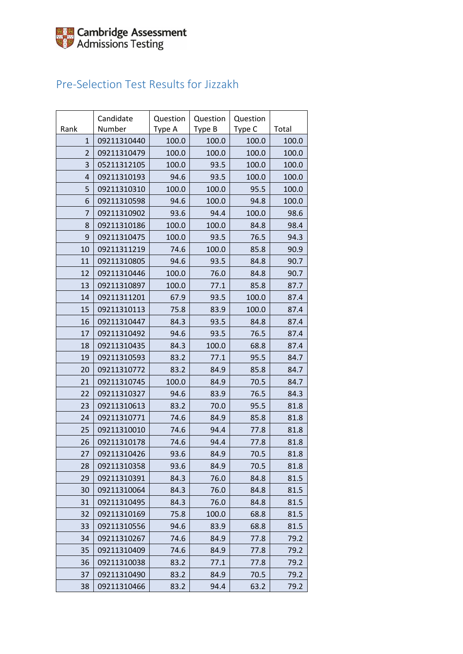### Pre-Selection Test Results for Jizzakh

| Rank           | Candidate<br>Number | Question<br>Type A | Question<br>Type B | Question<br>Type C | Total |
|----------------|---------------------|--------------------|--------------------|--------------------|-------|
| $\mathbf{1}$   | 09211310440         | 100.0              | 100.0              | 100.0              | 100.0 |
| 2              | 09211310479         | 100.0              | 100.0              | 100.0              | 100.0 |
| 3              | 05211312105         | 100.0              | 93.5               | 100.0              | 100.0 |
| $\overline{4}$ | 09211310193         | 94.6               | 93.5               | 100.0              | 100.0 |
| 5              | 09211310310         | 100.0              | 100.0              | 95.5               | 100.0 |
| 6              | 09211310598         | 94.6               | 100.0              | 94.8               | 100.0 |
| $\overline{7}$ | 09211310902         | 93.6               | 94.4               | 100.0              | 98.6  |
| 8              | 09211310186         | 100.0              | 100.0              | 84.8               | 98.4  |
| 9              | 09211310475         | 100.0              | 93.5               | 76.5               | 94.3  |
| 10             | 09211311219         | 74.6               | 100.0              | 85.8               | 90.9  |
| 11             | 09211310805         | 94.6               | 93.5               | 84.8               | 90.7  |
| 12             | 09211310446         | 100.0              | 76.0               | 84.8               | 90.7  |
| 13             | 09211310897         | 100.0              | 77.1               | 85.8               | 87.7  |
| 14             | 09211311201         | 67.9               | 93.5               | 100.0              | 87.4  |
| 15             | 09211310113         | 75.8               | 83.9               | 100.0              | 87.4  |
| 16             | 09211310447         | 84.3               | 93.5               | 84.8               | 87.4  |
| 17             | 09211310492         | 94.6               | 93.5               | 76.5               | 87.4  |
| 18             | 09211310435         | 84.3               | 100.0              | 68.8               | 87.4  |
| 19             | 09211310593         | 83.2               | 77.1               | 95.5               | 84.7  |
| 20             | 09211310772         | 83.2               | 84.9               | 85.8               | 84.7  |
| 21             | 09211310745         | 100.0              | 84.9               | 70.5               | 84.7  |
| 22             | 09211310327         | 94.6               | 83.9               | 76.5               | 84.3  |
| 23             | 09211310613         | 83.2               | 70.0               | 95.5               | 81.8  |
| 24             | 09211310771         | 74.6               | 84.9               | 85.8               | 81.8  |
| 25             | 09211310010         | 74.6               | 94.4               | 77.8               | 81.8  |
| 26             | 09211310178         | 74.6               | 94.4               | 77.8               | 81.8  |
| 27             | 09211310426         | 93.6               | 84.9               | 70.5               | 81.8  |
| 28             | 09211310358         | 93.6               | 84.9               | 70.5               | 81.8  |
| 29             | 09211310391         | 84.3               | 76.0               | 84.8               | 81.5  |
| 30             | 09211310064         | 84.3               | 76.0               | 84.8               | 81.5  |
| 31             | 09211310495         | 84.3               | 76.0               | 84.8               | 81.5  |
| 32             | 09211310169         | 75.8               | 100.0              | 68.8               | 81.5  |
| 33             | 09211310556         | 94.6               | 83.9               | 68.8               | 81.5  |
| 34             | 09211310267         | 74.6               | 84.9               | 77.8               | 79.2  |
| 35             | 09211310409         | 74.6               | 84.9               | 77.8               | 79.2  |
| 36             | 09211310038         | 83.2               | 77.1               | 77.8               | 79.2  |
| 37             | 09211310490         | 83.2               | 84.9               | 70.5               | 79.2  |
| 38             | 09211310466         | 83.2               | 94.4               | 63.2               | 79.2  |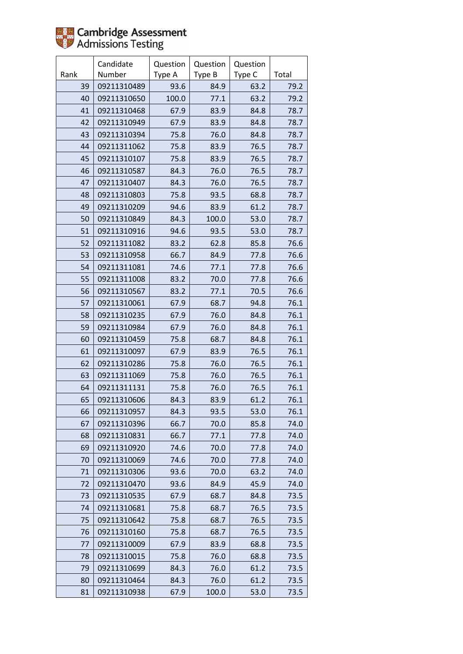

|      | Candidate   | Question | Question | Question |       |
|------|-------------|----------|----------|----------|-------|
| Rank | Number      | Type A   | Type B   | Type C   | Total |
| 39   | 09211310489 | 93.6     | 84.9     | 63.2     | 79.2  |
| 40   | 09211310650 | 100.0    | 77.1     | 63.2     | 79.2  |
| 41   | 09211310468 | 67.9     | 83.9     | 84.8     | 78.7  |
| 42   | 09211310949 | 67.9     | 83.9     | 84.8     | 78.7  |
| 43   | 09211310394 | 75.8     | 76.0     | 84.8     | 78.7  |
| 44   | 09211311062 | 75.8     | 83.9     | 76.5     | 78.7  |
| 45   | 09211310107 | 75.8     | 83.9     | 76.5     | 78.7  |
| 46   | 09211310587 | 84.3     | 76.0     | 76.5     | 78.7  |
| 47   | 09211310407 | 84.3     | 76.0     | 76.5     | 78.7  |
| 48   | 09211310803 | 75.8     | 93.5     | 68.8     | 78.7  |
| 49   | 09211310209 | 94.6     | 83.9     | 61.2     | 78.7  |
| 50   | 09211310849 | 84.3     | 100.0    | 53.0     | 78.7  |
| 51   | 09211310916 | 94.6     | 93.5     | 53.0     | 78.7  |
| 52   | 09211311082 | 83.2     | 62.8     | 85.8     | 76.6  |
| 53   | 09211310958 | 66.7     | 84.9     | 77.8     | 76.6  |
| 54   | 09211311081 | 74.6     | 77.1     | 77.8     | 76.6  |
| 55   | 09211311008 | 83.2     | 70.0     | 77.8     | 76.6  |
| 56   | 09211310567 | 83.2     | 77.1     | 70.5     | 76.6  |
| 57   | 09211310061 | 67.9     | 68.7     | 94.8     | 76.1  |
| 58   | 09211310235 | 67.9     | 76.0     | 84.8     | 76.1  |
| 59   | 09211310984 | 67.9     | 76.0     | 84.8     | 76.1  |
| 60   | 09211310459 | 75.8     | 68.7     | 84.8     | 76.1  |
| 61   | 09211310097 | 67.9     | 83.9     | 76.5     | 76.1  |
| 62   | 09211310286 | 75.8     | 76.0     | 76.5     | 76.1  |
| 63   | 09211311069 | 75.8     | 76.0     | 76.5     | 76.1  |
| 64   | 09211311131 | 75.8     | 76.0     | 76.5     | 76.1  |
| 65   | 09211310606 | 84.3     | 83.9     | 61.2     | 76.1  |
| 66   | 09211310957 | 84.3     | 93.5     | 53.0     | 76.1  |
| 67   | 09211310396 | 66.7     | 70.0     | 85.8     | 74.0  |
| 68   | 09211310831 | 66.7     | 77.1     | 77.8     | 74.0  |
| 69   | 09211310920 | 74.6     | 70.0     | 77.8     | 74.0  |
| 70   | 09211310069 | 74.6     | 70.0     | 77.8     | 74.0  |
| 71   | 09211310306 | 93.6     | 70.0     | 63.2     | 74.0  |
| 72   | 09211310470 | 93.6     | 84.9     | 45.9     | 74.0  |
| 73   | 09211310535 | 67.9     | 68.7     | 84.8     | 73.5  |
| 74   | 09211310681 | 75.8     | 68.7     | 76.5     | 73.5  |
| 75   | 09211310642 | 75.8     | 68.7     | 76.5     | 73.5  |
| 76   | 09211310160 | 75.8     | 68.7     | 76.5     | 73.5  |
| 77   | 09211310009 | 67.9     | 83.9     | 68.8     | 73.5  |
| 78   | 09211310015 | 75.8     | 76.0     | 68.8     | 73.5  |
| 79   | 09211310699 | 84.3     | 76.0     | 61.2     | 73.5  |
| 80   | 09211310464 | 84.3     | 76.0     | 61.2     | 73.5  |
| 81   | 09211310938 | 67.9     | 100.0    | 53.0     | 73.5  |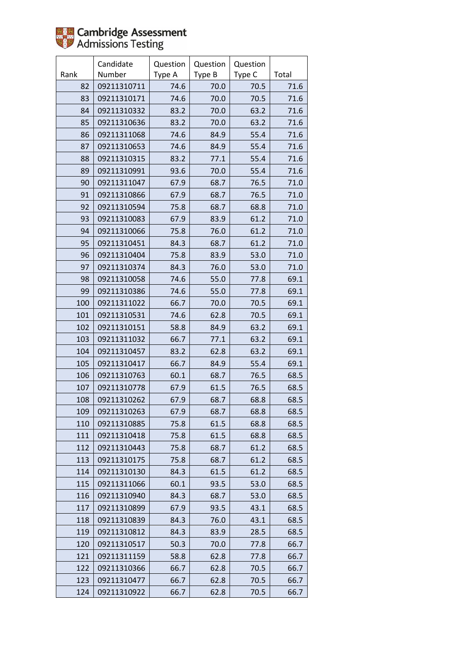

|      | Candidate   | Question | Question | Question |       |
|------|-------------|----------|----------|----------|-------|
| Rank | Number      | Type A   | Type B   | Type C   | Total |
| 82   | 09211310711 | 74.6     | 70.0     | 70.5     | 71.6  |
| 83   | 09211310171 | 74.6     | 70.0     | 70.5     | 71.6  |
| 84   | 09211310332 | 83.2     | 70.0     | 63.2     | 71.6  |
| 85   | 09211310636 | 83.2     | 70.0     | 63.2     | 71.6  |
| 86   | 09211311068 | 74.6     | 84.9     | 55.4     | 71.6  |
| 87   | 09211310653 | 74.6     | 84.9     | 55.4     | 71.6  |
| 88   | 09211310315 | 83.2     | 77.1     | 55.4     | 71.6  |
| 89   | 09211310991 | 93.6     | 70.0     | 55.4     | 71.6  |
| 90   | 09211311047 | 67.9     | 68.7     | 76.5     | 71.0  |
| 91   | 09211310866 | 67.9     | 68.7     | 76.5     | 71.0  |
| 92   | 09211310594 | 75.8     | 68.7     | 68.8     | 71.0  |
| 93   | 09211310083 | 67.9     | 83.9     | 61.2     | 71.0  |
| 94   | 09211310066 | 75.8     | 76.0     | 61.2     | 71.0  |
| 95   | 09211310451 | 84.3     | 68.7     | 61.2     | 71.0  |
| 96   | 09211310404 | 75.8     | 83.9     | 53.0     | 71.0  |
| 97   | 09211310374 | 84.3     | 76.0     | 53.0     | 71.0  |
| 98   | 09211310058 | 74.6     | 55.0     | 77.8     | 69.1  |
| 99   | 09211310386 | 74.6     | 55.0     | 77.8     | 69.1  |
| 100  | 09211311022 | 66.7     | 70.0     | 70.5     | 69.1  |
| 101  | 09211310531 | 74.6     | 62.8     | 70.5     | 69.1  |
| 102  | 09211310151 | 58.8     | 84.9     | 63.2     | 69.1  |
| 103  | 09211311032 | 66.7     | 77.1     | 63.2     | 69.1  |
| 104  | 09211310457 | 83.2     | 62.8     | 63.2     | 69.1  |
| 105  | 09211310417 | 66.7     | 84.9     | 55.4     | 69.1  |
| 106  | 09211310763 | 60.1     | 68.7     | 76.5     | 68.5  |
| 107  | 09211310778 | 67.9     | 61.5     | 76.5     | 68.5  |
| 108  | 09211310262 | 67.9     | 68.7     | 68.8     | 68.5  |
| 109  | 09211310263 | 67.9     | 68.7     | 68.8     | 68.5  |
| 110  | 09211310885 | 75.8     | 61.5     | 68.8     | 68.5  |
| 111  | 09211310418 | 75.8     | 61.5     | 68.8     | 68.5  |
| 112  | 09211310443 | 75.8     | 68.7     | 61.2     | 68.5  |
| 113  | 09211310175 | 75.8     | 68.7     | 61.2     | 68.5  |
| 114  | 09211310130 | 84.3     | 61.5     | 61.2     | 68.5  |
| 115  | 09211311066 | 60.1     | 93.5     | 53.0     | 68.5  |
| 116  | 09211310940 | 84.3     | 68.7     | 53.0     | 68.5  |
| 117  | 09211310899 | 67.9     | 93.5     | 43.1     | 68.5  |
| 118  | 09211310839 | 84.3     | 76.0     | 43.1     | 68.5  |
| 119  | 09211310812 | 84.3     | 83.9     | 28.5     | 68.5  |
| 120  | 09211310517 | 50.3     | 70.0     | 77.8     | 66.7  |
| 121  | 09211311159 | 58.8     | 62.8     | 77.8     | 66.7  |
| 122  | 09211310366 | 66.7     | 62.8     | 70.5     | 66.7  |
| 123  | 09211310477 | 66.7     | 62.8     | 70.5     | 66.7  |
| 124  | 09211310922 | 66.7     | 62.8     | 70.5     | 66.7  |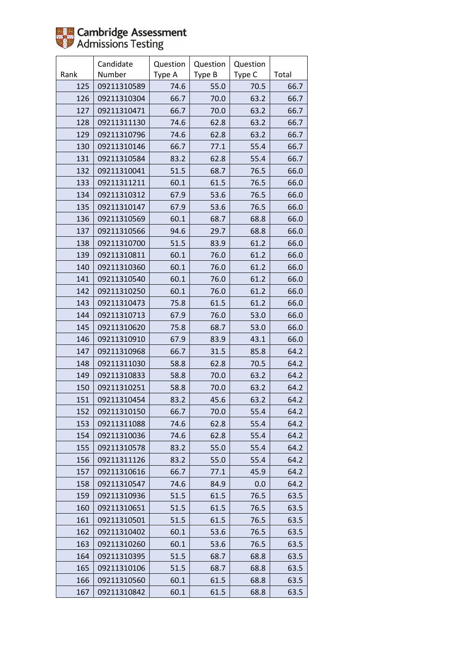

|      | Candidate   | Question | Question | Question |       |
|------|-------------|----------|----------|----------|-------|
| Rank | Number      | Type A   | Type B   | Type C   | Total |
| 125  | 09211310589 | 74.6     | 55.0     | 70.5     | 66.7  |
| 126  | 09211310304 | 66.7     | 70.0     | 63.2     | 66.7  |
| 127  | 09211310471 | 66.7     | 70.0     | 63.2     | 66.7  |
| 128  | 09211311130 | 74.6     | 62.8     | 63.2     | 66.7  |
| 129  | 09211310796 | 74.6     | 62.8     | 63.2     | 66.7  |
| 130  | 09211310146 | 66.7     | 77.1     | 55.4     | 66.7  |
| 131  | 09211310584 | 83.2     | 62.8     | 55.4     | 66.7  |
| 132  | 09211310041 | 51.5     | 68.7     | 76.5     | 66.0  |
| 133  | 09211311211 | 60.1     | 61.5     | 76.5     | 66.0  |
| 134  | 09211310312 | 67.9     | 53.6     | 76.5     | 66.0  |
| 135  | 09211310147 | 67.9     | 53.6     | 76.5     | 66.0  |
| 136  | 09211310569 | 60.1     | 68.7     | 68.8     | 66.0  |
| 137  | 09211310566 | 94.6     | 29.7     | 68.8     | 66.0  |
| 138  | 09211310700 | 51.5     | 83.9     | 61.2     | 66.0  |
| 139  | 09211310811 | 60.1     | 76.0     | 61.2     | 66.0  |
| 140  | 09211310360 | 60.1     | 76.0     | 61.2     | 66.0  |
| 141  | 09211310540 | 60.1     | 76.0     | 61.2     | 66.0  |
| 142  | 09211310250 | 60.1     | 76.0     | 61.2     | 66.0  |
| 143  | 09211310473 | 75.8     | 61.5     | 61.2     | 66.0  |
| 144  | 09211310713 | 67.9     | 76.0     | 53.0     | 66.0  |
| 145  | 09211310620 | 75.8     | 68.7     | 53.0     | 66.0  |
| 146  | 09211310910 | 67.9     | 83.9     | 43.1     | 66.0  |
| 147  | 09211310968 | 66.7     | 31.5     | 85.8     | 64.2  |
| 148  | 09211311030 | 58.8     | 62.8     | 70.5     | 64.2  |
| 149  | 09211310833 | 58.8     | 70.0     | 63.2     | 64.2  |
| 150  | 09211310251 | 58.8     | 70.0     | 63.2     | 64.2  |
| 151  | 09211310454 | 83.2     | 45.6     | 63.2     | 64.2  |
| 152  | 09211310150 | 66.7     | 70.0     | 55.4     | 64.2  |
| 153  | 09211311088 | 74.6     | 62.8     | 55.4     | 64.2  |
| 154  | 09211310036 | 74.6     | 62.8     | 55.4     | 64.2  |
| 155  | 09211310578 | 83.2     | 55.0     | 55.4     | 64.2  |
| 156  | 09211311126 | 83.2     | 55.0     | 55.4     | 64.2  |
| 157  | 09211310616 | 66.7     | 77.1     | 45.9     | 64.2  |
| 158  | 09211310547 | 74.6     | 84.9     | 0.0      | 64.2  |
| 159  | 09211310936 | 51.5     | 61.5     | 76.5     | 63.5  |
| 160  | 09211310651 | 51.5     | 61.5     | 76.5     | 63.5  |
| 161  | 09211310501 | 51.5     | 61.5     | 76.5     | 63.5  |
| 162  | 09211310402 | 60.1     | 53.6     | 76.5     | 63.5  |
| 163  | 09211310260 | 60.1     | 53.6     | 76.5     | 63.5  |
| 164  | 09211310395 | 51.5     | 68.7     | 68.8     | 63.5  |
| 165  | 09211310106 | 51.5     | 68.7     | 68.8     | 63.5  |
| 166  | 09211310560 | 60.1     | 61.5     | 68.8     | 63.5  |
| 167  | 09211310842 | 60.1     | 61.5     | 68.8     | 63.5  |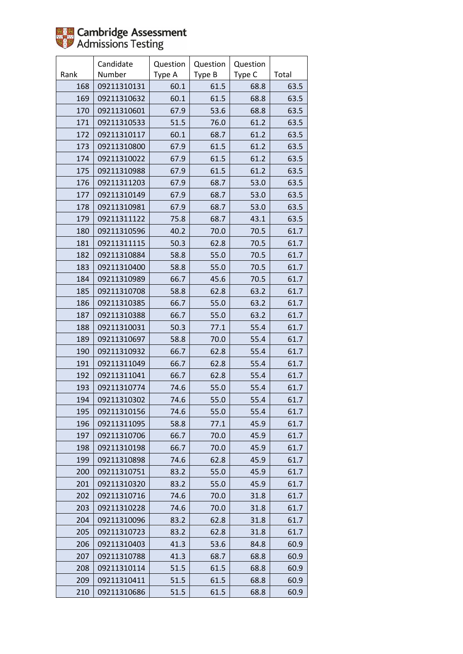|      | Candidate   | Question | Question | Question |       |
|------|-------------|----------|----------|----------|-------|
| Rank | Number      | Type A   | Type B   | Type C   | Total |
| 168  | 09211310131 | 60.1     | 61.5     | 68.8     | 63.5  |
| 169  | 09211310632 | 60.1     | 61.5     | 68.8     | 63.5  |
| 170  | 09211310601 | 67.9     | 53.6     | 68.8     | 63.5  |
| 171  | 09211310533 | 51.5     | 76.0     | 61.2     | 63.5  |
| 172  | 09211310117 | 60.1     | 68.7     | 61.2     | 63.5  |
| 173  | 09211310800 | 67.9     | 61.5     | 61.2     | 63.5  |
| 174  | 09211310022 | 67.9     | 61.5     | 61.2     | 63.5  |
| 175  | 09211310988 | 67.9     | 61.5     | 61.2     | 63.5  |
| 176  | 09211311203 | 67.9     | 68.7     | 53.0     | 63.5  |
| 177  | 09211310149 | 67.9     | 68.7     | 53.0     | 63.5  |
| 178  | 09211310981 | 67.9     | 68.7     | 53.0     | 63.5  |
| 179  | 09211311122 | 75.8     | 68.7     | 43.1     | 63.5  |
| 180  | 09211310596 | 40.2     | 70.0     | 70.5     | 61.7  |
| 181  | 09211311115 | 50.3     | 62.8     | 70.5     | 61.7  |
| 182  | 09211310884 | 58.8     | 55.0     | 70.5     | 61.7  |
| 183  | 09211310400 | 58.8     | 55.0     | 70.5     | 61.7  |
| 184  | 09211310989 | 66.7     | 45.6     | 70.5     | 61.7  |
| 185  | 09211310708 | 58.8     | 62.8     | 63.2     | 61.7  |
| 186  | 09211310385 | 66.7     | 55.0     | 63.2     | 61.7  |
| 187  | 09211310388 | 66.7     | 55.0     | 63.2     | 61.7  |
| 188  | 09211310031 | 50.3     | 77.1     | 55.4     | 61.7  |
| 189  | 09211310697 | 58.8     | 70.0     | 55.4     | 61.7  |
| 190  | 09211310932 | 66.7     | 62.8     | 55.4     | 61.7  |
| 191  | 09211311049 | 66.7     | 62.8     | 55.4     | 61.7  |
| 192  | 09211311041 | 66.7     | 62.8     | 55.4     | 61.7  |
| 193  | 09211310774 | 74.6     | 55.0     | 55.4     | 61.7  |
| 194  | 09211310302 | 74.6     | 55.0     | 55.4     | 61.7  |
| 195  | 09211310156 | 74.6     | 55.0     | 55.4     | 61.7  |
| 196  | 09211311095 | 58.8     | 77.1     | 45.9     | 61.7  |
| 197  | 09211310706 | 66.7     | 70.0     | 45.9     | 61.7  |
| 198  | 09211310198 | 66.7     | 70.0     | 45.9     | 61.7  |
| 199  | 09211310898 | 74.6     | 62.8     | 45.9     | 61.7  |
| 200  | 09211310751 | 83.2     | 55.0     | 45.9     | 61.7  |
| 201  | 09211310320 | 83.2     | 55.0     | 45.9     | 61.7  |
| 202  | 09211310716 | 74.6     | 70.0     | 31.8     | 61.7  |
| 203  | 09211310228 | 74.6     | 70.0     | 31.8     | 61.7  |
| 204  | 09211310096 | 83.2     | 62.8     | 31.8     | 61.7  |
| 205  | 09211310723 | 83.2     | 62.8     | 31.8     | 61.7  |
| 206  | 09211310403 | 41.3     | 53.6     | 84.8     | 60.9  |
| 207  | 09211310788 | 41.3     | 68.7     | 68.8     | 60.9  |
| 208  | 09211310114 | 51.5     | 61.5     | 68.8     | 60.9  |
| 209  | 09211310411 | 51.5     | 61.5     | 68.8     | 60.9  |
| 210  | 09211310686 | 51.5     | 61.5     | 68.8     | 60.9  |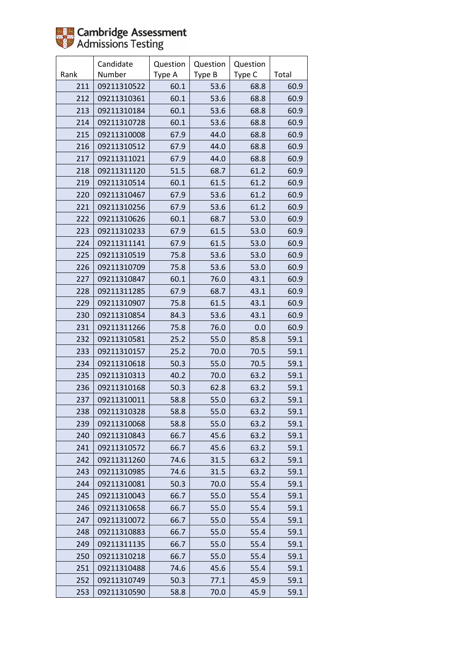

|      | Candidate   | Question | Question | Question |       |
|------|-------------|----------|----------|----------|-------|
| Rank | Number      | Type A   | Type B   | Type C   | Total |
| 211  | 09211310522 | 60.1     | 53.6     | 68.8     | 60.9  |
| 212  | 09211310361 | 60.1     | 53.6     | 68.8     | 60.9  |
| 213  | 09211310184 | 60.1     | 53.6     | 68.8     | 60.9  |
| 214  | 09211310728 | 60.1     | 53.6     | 68.8     | 60.9  |
| 215  | 09211310008 | 67.9     | 44.0     | 68.8     | 60.9  |
| 216  | 09211310512 | 67.9     | 44.0     | 68.8     | 60.9  |
| 217  | 09211311021 | 67.9     | 44.0     | 68.8     | 60.9  |
| 218  | 09211311120 | 51.5     | 68.7     | 61.2     | 60.9  |
| 219  | 09211310514 | 60.1     | 61.5     | 61.2     | 60.9  |
| 220  | 09211310467 | 67.9     | 53.6     | 61.2     | 60.9  |
| 221  | 09211310256 | 67.9     | 53.6     | 61.2     | 60.9  |
| 222  | 09211310626 | 60.1     | 68.7     | 53.0     | 60.9  |
| 223  | 09211310233 | 67.9     | 61.5     | 53.0     | 60.9  |
| 224  | 09211311141 | 67.9     | 61.5     | 53.0     | 60.9  |
| 225  | 09211310519 | 75.8     | 53.6     | 53.0     | 60.9  |
| 226  | 09211310709 | 75.8     | 53.6     | 53.0     | 60.9  |
| 227  | 09211310847 | 60.1     | 76.0     | 43.1     | 60.9  |
| 228  | 09211311285 | 67.9     | 68.7     | 43.1     | 60.9  |
| 229  | 09211310907 | 75.8     | 61.5     | 43.1     | 60.9  |
| 230  | 09211310854 | 84.3     | 53.6     | 43.1     | 60.9  |
| 231  | 09211311266 | 75.8     | 76.0     | 0.0      | 60.9  |
| 232  | 09211310581 | 25.2     | 55.0     | 85.8     | 59.1  |
| 233  | 09211310157 | 25.2     | 70.0     | 70.5     | 59.1  |
| 234  | 09211310618 | 50.3     | 55.0     | 70.5     | 59.1  |
| 235  | 09211310313 | 40.2     | 70.0     | 63.2     | 59.1  |
| 236  | 09211310168 | 50.3     | 62.8     | 63.2     | 59.1  |
| 237  | 09211310011 | 58.8     | 55.0     | 63.2     | 59.1  |
| 238  | 09211310328 | 58.8     | 55.0     | 63.2     | 59.1  |
| 239  | 09211310068 | 58.8     | 55.0     | 63.2     | 59.1  |
| 240  | 09211310843 | 66.7     | 45.6     | 63.2     | 59.1  |
| 241  | 09211310572 | 66.7     | 45.6     | 63.2     | 59.1  |
| 242  | 09211311260 | 74.6     | 31.5     | 63.2     | 59.1  |
| 243  | 09211310985 | 74.6     | 31.5     | 63.2     | 59.1  |
| 244  | 09211310081 | 50.3     | 70.0     | 55.4     | 59.1  |
| 245  | 09211310043 | 66.7     | 55.0     | 55.4     | 59.1  |
| 246  | 09211310658 | 66.7     | 55.0     | 55.4     | 59.1  |
| 247  | 09211310072 | 66.7     | 55.0     | 55.4     | 59.1  |
| 248  | 09211310883 | 66.7     | 55.0     | 55.4     | 59.1  |
| 249  | 09211311135 | 66.7     | 55.0     | 55.4     | 59.1  |
| 250  | 09211310218 | 66.7     | 55.0     | 55.4     | 59.1  |
| 251  | 09211310488 | 74.6     | 45.6     | 55.4     | 59.1  |
| 252  | 09211310749 | 50.3     | 77.1     | 45.9     | 59.1  |
| 253  | 09211310590 | 58.8     | 70.0     | 45.9     | 59.1  |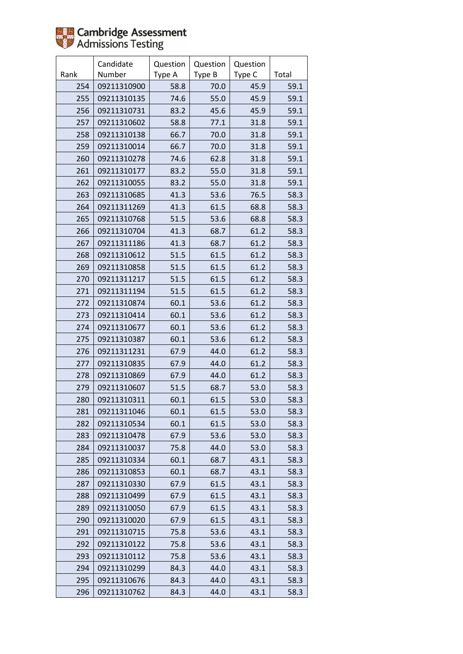|      | Candidate   | Question | Question | Question |       |
|------|-------------|----------|----------|----------|-------|
| Rank | Number      | Type A   | Type B   | Type C   | Total |
| 254  | 09211310900 | 58.8     | 70.0     | 45.9     | 59.1  |
| 255  | 09211310135 | 74.6     | 55.0     | 45.9     | 59.1  |
| 256  | 09211310731 | 83.2     | 45.6     | 45.9     | 59.1  |
| 257  | 09211310602 | 58.8     | 77.1     | 31.8     | 59.1  |
| 258  | 09211310138 | 66.7     | 70.0     | 31.8     | 59.1  |
| 259  | 09211310014 | 66.7     | 70.0     | 31.8     | 59.1  |
| 260  | 09211310278 | 74.6     | 62.8     | 31.8     | 59.1  |
| 261  | 09211310177 | 83.2     | 55.0     | 31.8     | 59.1  |
| 262  | 09211310055 | 83.2     | 55.0     | 31.8     | 59.1  |
| 263  | 09211310685 | 41.3     | 53.6     | 76.5     | 58.3  |
| 264  | 09211311269 | 41.3     | 61.5     | 68.8     | 58.3  |
| 265  | 09211310768 | 51.5     | 53.6     | 68.8     | 58.3  |
| 266  | 09211310704 | 41.3     | 68.7     | 61.2     | 58.3  |
| 267  | 09211311186 | 41.3     | 68.7     | 61.2     | 58.3  |
| 268  | 09211310612 | 51.5     | 61.5     | 61.2     | 58.3  |
| 269  | 09211310858 | 51.5     | 61.5     | 61.2     | 58.3  |
| 270  | 09211311217 | 51.5     | 61.5     | 61.2     | 58.3  |
| 271  | 09211311194 | 51.5     | 61.5     | 61.2     | 58.3  |
| 272  | 09211310874 | 60.1     | 53.6     | 61.2     | 58.3  |
| 273  | 09211310414 | 60.1     | 53.6     | 61.2     | 58.3  |
| 274  | 09211310677 | 60.1     | 53.6     | 61.2     | 58.3  |
| 275  | 09211310387 | 60.1     | 53.6     | 61.2     | 58.3  |
| 276  | 09211311231 | 67.9     | 44.0     | 61.2     | 58.3  |
| 277  | 09211310835 | 67.9     | 44.0     | 61.2     | 58.3  |
| 278  | 09211310869 | 67.9     | 44.0     | 61.2     | 58.3  |
| 279  | 09211310607 | 51.5     | 68.7     | 53.0     | 58.3  |
| 280  | 09211310311 | 60.1     | 61.5     | 53.0     | 58.3  |
| 281  | 09211311046 | 60.1     | 61.5     | 53.0     | 58.3  |
| 282  | 09211310534 | 60.1     | 61.5     | 53.0     | 58.3  |
| 283  | 09211310478 | 67.9     | 53.6     | 53.0     | 58.3  |
| 284  | 09211310037 | 75.8     | 44.0     | 53.0     | 58.3  |
| 285  | 09211310334 | 60.1     | 68.7     | 43.1     | 58.3  |
| 286  | 09211310853 | 60.1     | 68.7     | 43.1     | 58.3  |
| 287  | 09211310330 | 67.9     | 61.5     | 43.1     | 58.3  |
| 288  | 09211310499 | 67.9     | 61.5     | 43.1     | 58.3  |
| 289  | 09211310050 | 67.9     | 61.5     | 43.1     | 58.3  |
| 290  | 09211310020 | 67.9     | 61.5     | 43.1     | 58.3  |
| 291  | 09211310715 | 75.8     | 53.6     | 43.1     | 58.3  |
| 292  | 09211310122 | 75.8     | 53.6     | 43.1     | 58.3  |
| 293  | 09211310112 | 75.8     | 53.6     | 43.1     | 58.3  |
| 294  | 09211310299 | 84.3     | 44.0     | 43.1     | 58.3  |
| 295  | 09211310676 | 84.3     | 44.0     | 43.1     | 58.3  |
| 296  | 09211310762 | 84.3     | 44.0     | 43.1     | 58.3  |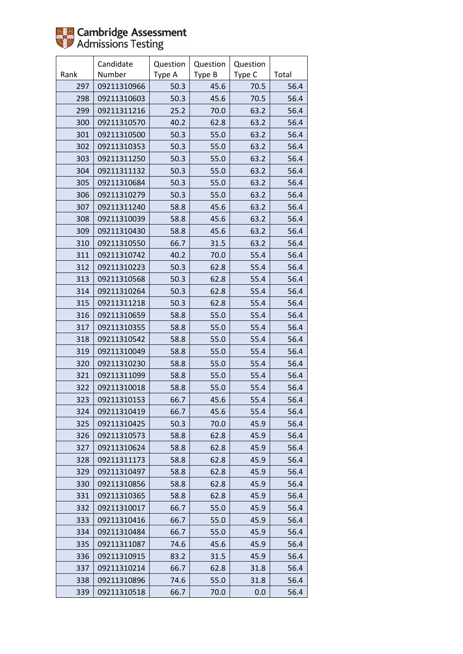|      | Candidate   | Question | Question | Question |       |
|------|-------------|----------|----------|----------|-------|
| Rank | Number      | Type A   | Type B   | Type C   | Total |
| 297  | 09211310966 | 50.3     | 45.6     | 70.5     | 56.4  |
| 298  | 09211310603 | 50.3     | 45.6     | 70.5     | 56.4  |
| 299  | 09211311216 | 25.2     | 70.0     | 63.2     | 56.4  |
| 300  | 09211310570 | 40.2     | 62.8     | 63.2     | 56.4  |
| 301  | 09211310500 | 50.3     | 55.0     | 63.2     | 56.4  |
| 302  | 09211310353 | 50.3     | 55.0     | 63.2     | 56.4  |
| 303  | 09211311250 | 50.3     | 55.0     | 63.2     | 56.4  |
| 304  | 09211311132 | 50.3     | 55.0     | 63.2     | 56.4  |
| 305  | 09211310684 | 50.3     | 55.0     | 63.2     | 56.4  |
| 306  | 09211310279 | 50.3     | 55.0     | 63.2     | 56.4  |
| 307  | 09211311240 | 58.8     | 45.6     | 63.2     | 56.4  |
| 308  | 09211310039 | 58.8     | 45.6     | 63.2     | 56.4  |
| 309  | 09211310430 | 58.8     | 45.6     | 63.2     | 56.4  |
| 310  | 09211310550 | 66.7     | 31.5     | 63.2     | 56.4  |
| 311  | 09211310742 | 40.2     | 70.0     | 55.4     | 56.4  |
| 312  | 09211310223 | 50.3     | 62.8     | 55.4     | 56.4  |
| 313  | 09211310568 | 50.3     | 62.8     | 55.4     | 56.4  |
| 314  | 09211310264 | 50.3     | 62.8     | 55.4     | 56.4  |
| 315  | 09211311218 | 50.3     | 62.8     | 55.4     | 56.4  |
| 316  | 09211310659 | 58.8     | 55.0     | 55.4     | 56.4  |
| 317  | 09211310355 | 58.8     | 55.0     | 55.4     | 56.4  |
| 318  | 09211310542 | 58.8     | 55.0     | 55.4     | 56.4  |
| 319  | 09211310049 | 58.8     | 55.0     | 55.4     | 56.4  |
| 320  | 09211310230 | 58.8     | 55.0     | 55.4     | 56.4  |
| 321  | 09211311099 | 58.8     | 55.0     | 55.4     | 56.4  |
| 322  | 09211310018 | 58.8     | 55.0     | 55.4     | 56.4  |
| 323  | 09211310153 | 66.7     | 45.6     | 55.4     | 56.4  |
| 324  | 09211310419 | 66.7     | 45.6     | 55.4     | 56.4  |
| 325  | 09211310425 | 50.3     | 70.0     | 45.9     | 56.4  |
| 326  | 09211310573 | 58.8     | 62.8     | 45.9     | 56.4  |
| 327  | 09211310624 | 58.8     | 62.8     | 45.9     | 56.4  |
| 328  | 09211311173 | 58.8     | 62.8     | 45.9     | 56.4  |
| 329  | 09211310497 | 58.8     | 62.8     | 45.9     | 56.4  |
| 330  | 09211310856 | 58.8     | 62.8     | 45.9     | 56.4  |
| 331  | 09211310365 | 58.8     | 62.8     | 45.9     | 56.4  |
| 332  | 09211310017 | 66.7     | 55.0     | 45.9     | 56.4  |
| 333  | 09211310416 | 66.7     | 55.0     | 45.9     | 56.4  |
| 334  | 09211310484 | 66.7     | 55.0     | 45.9     | 56.4  |
| 335  | 09211311087 | 74.6     | 45.6     | 45.9     | 56.4  |
| 336  | 09211310915 | 83.2     | 31.5     | 45.9     | 56.4  |
| 337  | 09211310214 | 66.7     | 62.8     | 31.8     | 56.4  |
| 338  | 09211310896 | 74.6     | 55.0     | 31.8     | 56.4  |
| 339  | 09211310518 | 66.7     | 70.0     | 0.0      | 56.4  |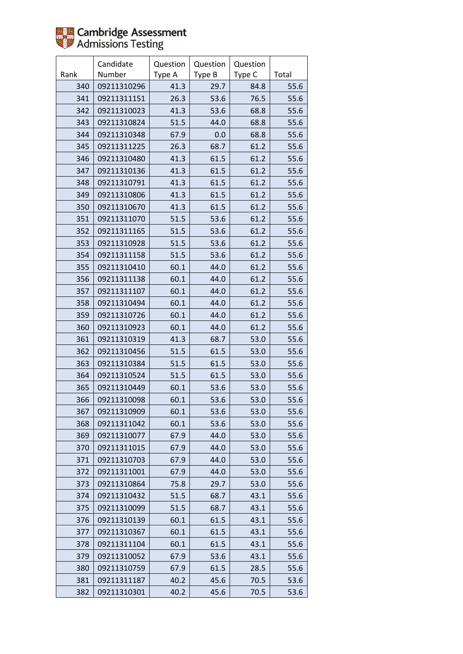

|      | Candidate   | Question | Question | Question |       |
|------|-------------|----------|----------|----------|-------|
| Rank | Number      | Type A   | Type B   | Type C   | Total |
| 340  | 09211310296 | 41.3     | 29.7     | 84.8     | 55.6  |
| 341  | 09211311151 | 26.3     | 53.6     | 76.5     | 55.6  |
| 342  | 09211310023 | 41.3     | 53.6     | 68.8     | 55.6  |
| 343  | 09211310824 | 51.5     | 44.0     | 68.8     | 55.6  |
| 344  | 09211310348 | 67.9     | 0.0      | 68.8     | 55.6  |
| 345  | 09211311225 | 26.3     | 68.7     | 61.2     | 55.6  |
| 346  | 09211310480 | 41.3     | 61.5     | 61.2     | 55.6  |
| 347  | 09211310136 | 41.3     | 61.5     | 61.2     | 55.6  |
| 348  | 09211310791 | 41.3     | 61.5     | 61.2     | 55.6  |
| 349  | 09211310806 | 41.3     | 61.5     | 61.2     | 55.6  |
| 350  | 09211310670 | 41.3     | 61.5     | 61.2     | 55.6  |
| 351  | 09211311070 | 51.5     | 53.6     | 61.2     | 55.6  |
| 352  | 09211311165 | 51.5     | 53.6     | 61.2     | 55.6  |
| 353  | 09211310928 | 51.5     | 53.6     | 61.2     | 55.6  |
| 354  | 09211311158 | 51.5     | 53.6     | 61.2     | 55.6  |
| 355  | 09211310410 | 60.1     | 44.0     | 61.2     | 55.6  |
| 356  | 09211311138 | 60.1     | 44.0     | 61.2     | 55.6  |
| 357  | 09211311107 | 60.1     | 44.0     | 61.2     | 55.6  |
| 358  | 09211310494 | 60.1     | 44.0     | 61.2     | 55.6  |
| 359  | 09211310726 | 60.1     | 44.0     | 61.2     | 55.6  |
| 360  | 09211310923 | 60.1     | 44.0     | 61.2     | 55.6  |
| 361  | 09211310319 | 41.3     | 68.7     | 53.0     | 55.6  |
| 362  | 09211310456 | 51.5     | 61.5     | 53.0     | 55.6  |
| 363  | 09211310384 | 51.5     | 61.5     | 53.0     | 55.6  |
| 364  | 09211310524 | 51.5     | 61.5     | 53.0     | 55.6  |
| 365  | 09211310449 | 60.1     | 53.6     | 53.0     | 55.6  |
| 366  | 09211310098 | 60.1     | 53.6     | 53.0     | 55.6  |
| 367  | 09211310909 | 60.1     | 53.6     | 53.0     | 55.6  |
| 368  | 09211311042 | 60.1     | 53.6     | 53.0     | 55.6  |
| 369  | 09211310077 | 67.9     | 44.0     | 53.0     | 55.6  |
| 370  | 09211311015 | 67.9     | 44.0     | 53.0     | 55.6  |
| 371  | 09211310703 | 67.9     | 44.0     | 53.0     | 55.6  |
| 372  | 09211311001 | 67.9     | 44.0     | 53.0     | 55.6  |
| 373  | 09211310864 | 75.8     | 29.7     | 53.0     | 55.6  |
| 374  | 09211310432 | 51.5     | 68.7     | 43.1     | 55.6  |
| 375  | 09211310099 | 51.5     | 68.7     | 43.1     | 55.6  |
| 376  | 09211310139 | 60.1     | 61.5     | 43.1     | 55.6  |
| 377  | 09211310367 | 60.1     | 61.5     | 43.1     | 55.6  |
| 378  | 09211311104 | 60.1     | 61.5     | 43.1     | 55.6  |
| 379  | 09211310052 | 67.9     | 53.6     | 43.1     | 55.6  |
| 380  | 09211310759 | 67.9     | 61.5     | 28.5     | 55.6  |
| 381  | 09211311187 | 40.2     | 45.6     | 70.5     | 53.6  |
| 382  | 09211310301 | 40.2     | 45.6     | 70.5     | 53.6  |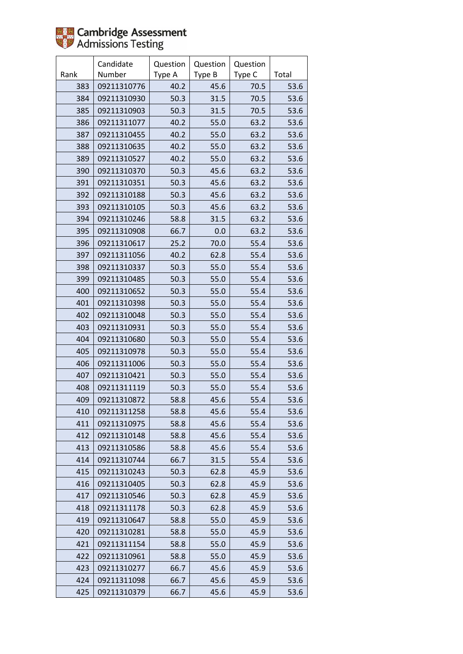|      | Candidate   | Question | Question | Question |       |
|------|-------------|----------|----------|----------|-------|
| Rank | Number      | Type A   | Type B   | Type C   | Total |
| 383  | 09211310776 | 40.2     | 45.6     | 70.5     | 53.6  |
| 384  | 09211310930 | 50.3     | 31.5     | 70.5     | 53.6  |
| 385  | 09211310903 | 50.3     | 31.5     | 70.5     | 53.6  |
| 386  | 09211311077 | 40.2     | 55.0     | 63.2     | 53.6  |
| 387  | 09211310455 | 40.2     | 55.0     | 63.2     | 53.6  |
| 388  | 09211310635 | 40.2     | 55.0     | 63.2     | 53.6  |
| 389  | 09211310527 | 40.2     | 55.0     | 63.2     | 53.6  |
| 390  | 09211310370 | 50.3     | 45.6     | 63.2     | 53.6  |
| 391  | 09211310351 | 50.3     | 45.6     | 63.2     | 53.6  |
| 392  | 09211310188 | 50.3     | 45.6     | 63.2     | 53.6  |
| 393  | 09211310105 | 50.3     | 45.6     | 63.2     | 53.6  |
| 394  | 09211310246 | 58.8     | 31.5     | 63.2     | 53.6  |
| 395  | 09211310908 | 66.7     | 0.0      | 63.2     | 53.6  |
| 396  | 09211310617 | 25.2     | 70.0     | 55.4     | 53.6  |
| 397  | 09211311056 | 40.2     | 62.8     | 55.4     | 53.6  |
| 398  | 09211310337 | 50.3     | 55.0     | 55.4     | 53.6  |
| 399  | 09211310485 | 50.3     | 55.0     | 55.4     | 53.6  |
| 400  | 09211310652 | 50.3     | 55.0     | 55.4     | 53.6  |
| 401  | 09211310398 | 50.3     | 55.0     | 55.4     | 53.6  |
| 402  | 09211310048 | 50.3     | 55.0     | 55.4     | 53.6  |
| 403  | 09211310931 | 50.3     | 55.0     | 55.4     | 53.6  |
| 404  | 09211310680 | 50.3     | 55.0     | 55.4     | 53.6  |
| 405  | 09211310978 | 50.3     | 55.0     | 55.4     | 53.6  |
| 406  | 09211311006 | 50.3     | 55.0     | 55.4     | 53.6  |
| 407  | 09211310421 | 50.3     | 55.0     | 55.4     | 53.6  |
| 408  | 09211311119 | 50.3     | 55.0     | 55.4     | 53.6  |
| 409  | 09211310872 | 58.8     | 45.6     | 55.4     | 53.6  |
| 410  | 09211311258 | 58.8     | 45.6     | 55.4     | 53.6  |
| 411  | 09211310975 | 58.8     | 45.6     | 55.4     | 53.6  |
| 412  | 09211310148 | 58.8     | 45.6     | 55.4     | 53.6  |
| 413  | 09211310586 | 58.8     | 45.6     | 55.4     | 53.6  |
| 414  | 09211310744 | 66.7     | 31.5     | 55.4     | 53.6  |
| 415  | 09211310243 | 50.3     | 62.8     | 45.9     | 53.6  |
| 416  | 09211310405 | 50.3     | 62.8     | 45.9     | 53.6  |
| 417  | 09211310546 | 50.3     | 62.8     | 45.9     | 53.6  |
| 418  | 09211311178 | 50.3     | 62.8     | 45.9     | 53.6  |
| 419  | 09211310647 | 58.8     | 55.0     | 45.9     | 53.6  |
| 420  | 09211310281 | 58.8     | 55.0     | 45.9     | 53.6  |
| 421  | 09211311154 | 58.8     | 55.0     | 45.9     | 53.6  |
| 422  | 09211310961 | 58.8     | 55.0     | 45.9     | 53.6  |
| 423  | 09211310277 | 66.7     | 45.6     | 45.9     | 53.6  |
| 424  | 09211311098 | 66.7     | 45.6     | 45.9     | 53.6  |
| 425  | 09211310379 | 66.7     | 45.6     | 45.9     | 53.6  |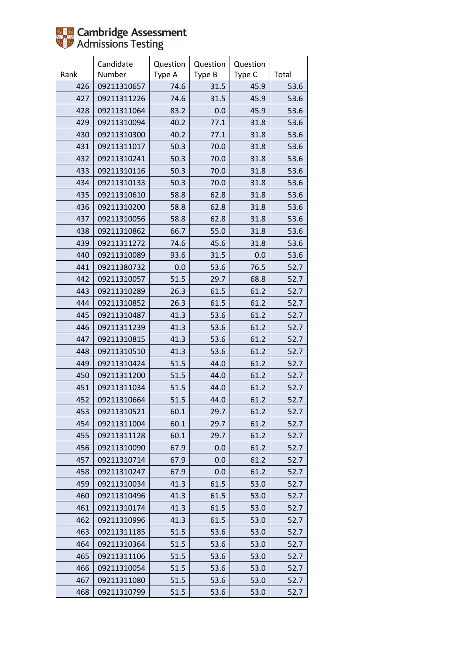

|      | Candidate   | Question | Question | Question |       |
|------|-------------|----------|----------|----------|-------|
| Rank | Number      | Type A   | Type B   | Type C   | Total |
| 426  | 09211310657 | 74.6     | 31.5     | 45.9     | 53.6  |
| 427  | 09211311226 | 74.6     | 31.5     | 45.9     | 53.6  |
| 428  | 09211311064 | 83.2     | 0.0      | 45.9     | 53.6  |
| 429  | 09211310094 | 40.2     | 77.1     | 31.8     | 53.6  |
| 430  | 09211310300 | 40.2     | 77.1     | 31.8     | 53.6  |
| 431  | 09211311017 | 50.3     | 70.0     | 31.8     | 53.6  |
| 432  | 09211310241 | 50.3     | 70.0     | 31.8     | 53.6  |
| 433  | 09211310116 | 50.3     | 70.0     | 31.8     | 53.6  |
| 434  | 09211310133 | 50.3     | 70.0     | 31.8     | 53.6  |
| 435  | 09211310610 | 58.8     | 62.8     | 31.8     | 53.6  |
| 436  | 09211310200 | 58.8     | 62.8     | 31.8     | 53.6  |
| 437  | 09211310056 | 58.8     | 62.8     | 31.8     | 53.6  |
| 438  | 09211310862 | 66.7     | 55.0     | 31.8     | 53.6  |
| 439  | 09211311272 | 74.6     | 45.6     | 31.8     | 53.6  |
| 440  | 09211310089 | 93.6     | 31.5     | 0.0      | 53.6  |
| 441  | 09211380732 | 0.0      | 53.6     | 76.5     | 52.7  |
| 442  | 09211310057 | 51.5     | 29.7     | 68.8     | 52.7  |
| 443  | 09211310289 | 26.3     | 61.5     | 61.2     | 52.7  |
| 444  | 09211310852 | 26.3     | 61.5     | 61.2     | 52.7  |
| 445  | 09211310487 | 41.3     | 53.6     | 61.2     | 52.7  |
| 446  | 09211311239 | 41.3     | 53.6     | 61.2     | 52.7  |
| 447  | 09211310815 | 41.3     | 53.6     | 61.2     | 52.7  |
| 448  | 09211310510 | 41.3     | 53.6     | 61.2     | 52.7  |
| 449  | 09211310424 | 51.5     | 44.0     | 61.2     | 52.7  |
| 450  | 09211311200 | 51.5     | 44.0     | 61.2     | 52.7  |
| 451  | 09211311034 | 51.5     | 44.0     | 61.2     | 52.7  |
| 452  | 09211310664 | 51.5     | 44.0     | 61.2     | 52.7  |
| 453  | 09211310521 | 60.1     | 29.7     | 61.2     | 52.7  |
| 454  | 09211311004 | 60.1     | 29.7     | 61.2     | 52.7  |
| 455  | 09211311128 | 60.1     | 29.7     | 61.2     | 52.7  |
| 456  | 09211310090 | 67.9     | 0.0      | 61.2     | 52.7  |
| 457  | 09211310714 | 67.9     | 0.0      | 61.2     | 52.7  |
| 458  | 09211310247 | 67.9     | 0.0      | 61.2     | 52.7  |
| 459  | 09211310034 | 41.3     | 61.5     | 53.0     | 52.7  |
| 460  | 09211310496 | 41.3     | 61.5     | 53.0     | 52.7  |
| 461  | 09211310174 | 41.3     | 61.5     | 53.0     | 52.7  |
| 462  | 09211310996 | 41.3     | 61.5     | 53.0     | 52.7  |
| 463  | 09211311185 | 51.5     | 53.6     | 53.0     | 52.7  |
| 464  | 09211310364 | 51.5     | 53.6     | 53.0     | 52.7  |
| 465  | 09211311106 | 51.5     | 53.6     | 53.0     | 52.7  |
| 466  | 09211310054 | 51.5     | 53.6     | 53.0     | 52.7  |
| 467  | 09211311080 | 51.5     | 53.6     | 53.0     | 52.7  |
| 468  | 09211310799 | 51.5     | 53.6     | 53.0     | 52.7  |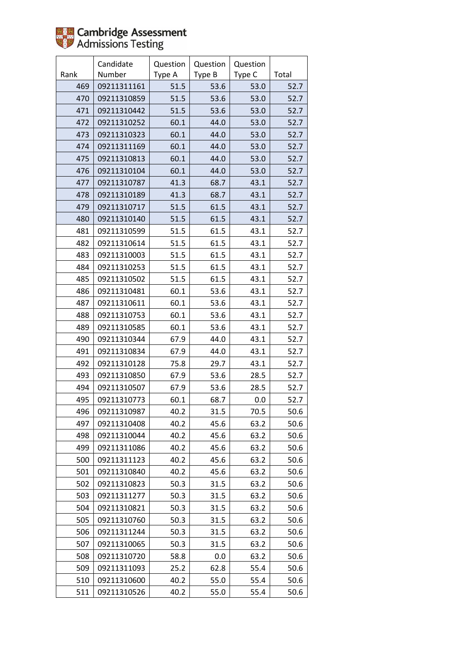

|      | Candidate   | Question | Question | Question |       |
|------|-------------|----------|----------|----------|-------|
| Rank | Number      | Type A   | Type B   | Type C   | Total |
| 469  | 09211311161 | 51.5     | 53.6     | 53.0     | 52.7  |
| 470  | 09211310859 | 51.5     | 53.6     | 53.0     | 52.7  |
| 471  | 09211310442 | 51.5     | 53.6     | 53.0     | 52.7  |
| 472  | 09211310252 | 60.1     | 44.0     | 53.0     | 52.7  |
| 473  | 09211310323 | 60.1     | 44.0     | 53.0     | 52.7  |
| 474  | 09211311169 | 60.1     | 44.0     | 53.0     | 52.7  |
| 475  | 09211310813 | 60.1     | 44.0     | 53.0     | 52.7  |
| 476  | 09211310104 | 60.1     | 44.0     | 53.0     | 52.7  |
| 477  | 09211310787 | 41.3     | 68.7     | 43.1     | 52.7  |
| 478  | 09211310189 | 41.3     | 68.7     | 43.1     | 52.7  |
| 479  | 09211310717 | 51.5     | 61.5     | 43.1     | 52.7  |
| 480  | 09211310140 | 51.5     | 61.5     | 43.1     | 52.7  |
| 481  | 09211310599 | 51.5     | 61.5     | 43.1     | 52.7  |
| 482  | 09211310614 | 51.5     | 61.5     | 43.1     | 52.7  |
| 483  | 09211310003 | 51.5     | 61.5     | 43.1     | 52.7  |
| 484  | 09211310253 | 51.5     | 61.5     | 43.1     | 52.7  |
| 485  | 09211310502 | 51.5     | 61.5     | 43.1     | 52.7  |
| 486  | 09211310481 | 60.1     | 53.6     | 43.1     | 52.7  |
| 487  | 09211310611 | 60.1     | 53.6     | 43.1     | 52.7  |
| 488  | 09211310753 | 60.1     | 53.6     | 43.1     | 52.7  |
| 489  | 09211310585 | 60.1     | 53.6     | 43.1     | 52.7  |
| 490  | 09211310344 | 67.9     | 44.0     | 43.1     | 52.7  |
| 491  | 09211310834 | 67.9     | 44.0     | 43.1     | 52.7  |
| 492  | 09211310128 | 75.8     | 29.7     | 43.1     | 52.7  |
| 493  | 09211310850 | 67.9     | 53.6     | 28.5     | 52.7  |
| 494  | 09211310507 | 67.9     | 53.6     | 28.5     | 52.7  |
| 495  | 09211310773 | 60.1     | 68.7     | 0.0      | 52.7  |
| 496  | 09211310987 | 40.2     | 31.5     | 70.5     | 50.6  |
| 497  | 09211310408 | 40.2     | 45.6     | 63.2     | 50.6  |
| 498  | 09211310044 | 40.2     | 45.6     | 63.2     | 50.6  |
| 499  | 09211311086 | 40.2     | 45.6     | 63.2     | 50.6  |
| 500  | 09211311123 | 40.2     | 45.6     | 63.2     | 50.6  |
| 501  | 09211310840 | 40.2     | 45.6     | 63.2     | 50.6  |
| 502  | 09211310823 | 50.3     | 31.5     | 63.2     | 50.6  |
| 503  | 09211311277 | 50.3     | 31.5     | 63.2     | 50.6  |
| 504  | 09211310821 | 50.3     | 31.5     | 63.2     | 50.6  |
| 505  | 09211310760 | 50.3     | 31.5     | 63.2     | 50.6  |
| 506  | 09211311244 | 50.3     | 31.5     | 63.2     | 50.6  |
| 507  | 09211310065 | 50.3     | 31.5     | 63.2     | 50.6  |
| 508  | 09211310720 | 58.8     | 0.0      | 63.2     | 50.6  |
| 509  | 09211311093 | 25.2     | 62.8     | 55.4     | 50.6  |
| 510  | 09211310600 | 40.2     | 55.0     | 55.4     | 50.6  |
| 511  | 09211310526 | 40.2     | 55.0     | 55.4     | 50.6  |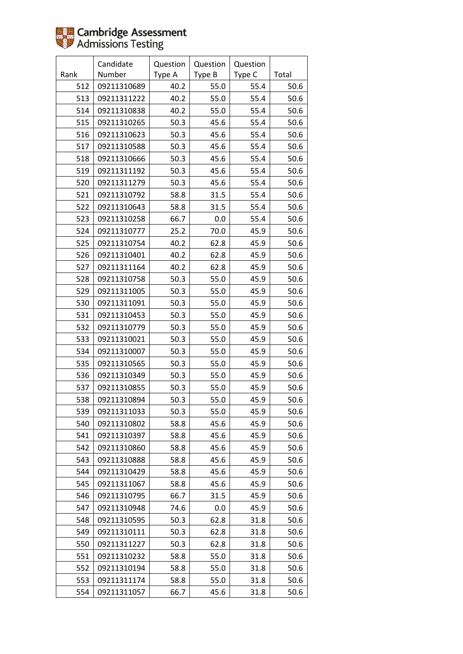|      | Candidate   | Question | Question | Question |       |
|------|-------------|----------|----------|----------|-------|
| Rank | Number      | Type A   | Type B   | Type C   | Total |
| 512  | 09211310689 | 40.2     | 55.0     | 55.4     | 50.6  |
| 513  | 09211311222 | 40.2     | 55.0     | 55.4     | 50.6  |
| 514  | 09211310838 | 40.2     | 55.0     | 55.4     | 50.6  |
| 515  | 09211310265 | 50.3     | 45.6     | 55.4     | 50.6  |
| 516  | 09211310623 | 50.3     | 45.6     | 55.4     | 50.6  |
| 517  | 09211310588 | 50.3     | 45.6     | 55.4     | 50.6  |
| 518  | 09211310666 | 50.3     | 45.6     | 55.4     | 50.6  |
| 519  | 09211311192 | 50.3     | 45.6     | 55.4     | 50.6  |
| 520  | 09211311279 | 50.3     | 45.6     | 55.4     | 50.6  |
| 521  | 09211310792 | 58.8     | 31.5     | 55.4     | 50.6  |
| 522  | 09211310643 | 58.8     | 31.5     | 55.4     | 50.6  |
| 523  | 09211310258 | 66.7     | 0.0      | 55.4     | 50.6  |
| 524  | 09211310777 | 25.2     | 70.0     | 45.9     | 50.6  |
| 525  | 09211310754 | 40.2     | 62.8     | 45.9     | 50.6  |
| 526  | 09211310401 | 40.2     | 62.8     | 45.9     | 50.6  |
| 527  | 09211311164 | 40.2     | 62.8     | 45.9     | 50.6  |
| 528  | 09211310758 | 50.3     | 55.0     | 45.9     | 50.6  |
| 529  | 09211311005 | 50.3     | 55.0     | 45.9     | 50.6  |
| 530  | 09211311091 | 50.3     | 55.0     | 45.9     | 50.6  |
| 531  | 09211310453 | 50.3     | 55.0     | 45.9     | 50.6  |
| 532  | 09211310779 | 50.3     | 55.0     | 45.9     | 50.6  |
| 533  | 09211310021 | 50.3     | 55.0     | 45.9     | 50.6  |
| 534  | 09211310007 | 50.3     | 55.0     | 45.9     | 50.6  |
| 535  | 09211310565 | 50.3     | 55.0     | 45.9     | 50.6  |
| 536  | 09211310349 | 50.3     | 55.0     | 45.9     | 50.6  |
| 537  | 09211310855 | 50.3     | 55.0     | 45.9     | 50.6  |
| 538  | 09211310894 | 50.3     | 55.0     | 45.9     | 50.6  |
| 539  | 09211311033 | 50.3     | 55.0     | 45.9     | 50.6  |
| 540  | 09211310802 | 58.8     | 45.6     | 45.9     | 50.6  |
| 541  | 09211310397 | 58.8     | 45.6     | 45.9     | 50.6  |
| 542  | 09211310860 | 58.8     | 45.6     | 45.9     | 50.6  |
| 543  | 09211310888 | 58.8     | 45.6     | 45.9     | 50.6  |
| 544  | 09211310429 | 58.8     | 45.6     | 45.9     | 50.6  |
| 545  | 09211311067 | 58.8     | 45.6     | 45.9     | 50.6  |
| 546  | 09211310795 | 66.7     | 31.5     | 45.9     | 50.6  |
| 547  | 09211310948 | 74.6     | 0.0      | 45.9     | 50.6  |
| 548  | 09211310595 | 50.3     | 62.8     | 31.8     | 50.6  |
| 549  | 09211310111 | 50.3     | 62.8     | 31.8     | 50.6  |
| 550  | 09211311227 | 50.3     | 62.8     | 31.8     | 50.6  |
| 551  | 09211310232 | 58.8     | 55.0     | 31.8     | 50.6  |
| 552  | 09211310194 | 58.8     | 55.0     | 31.8     | 50.6  |
| 553  | 09211311174 | 58.8     | 55.0     | 31.8     | 50.6  |
| 554  | 09211311057 | 66.7     | 45.6     | 31.8     | 50.6  |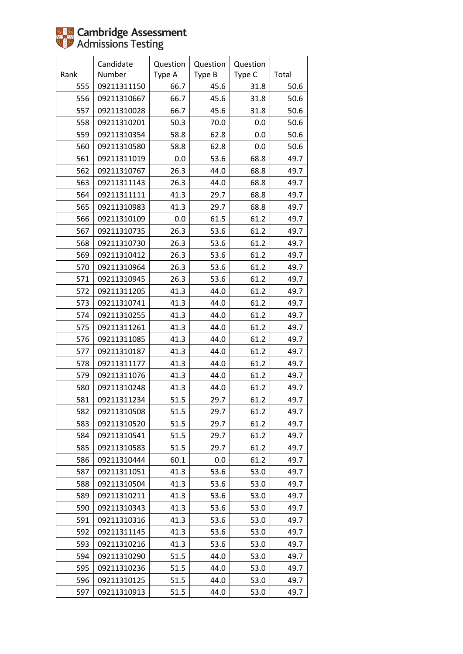|      | Candidate   | Question | Question | Question |       |
|------|-------------|----------|----------|----------|-------|
| Rank | Number      | Type A   | Type B   | Type C   | Total |
| 555  | 09211311150 | 66.7     | 45.6     | 31.8     | 50.6  |
| 556  | 09211310667 | 66.7     | 45.6     | 31.8     | 50.6  |
| 557  | 09211310028 | 66.7     | 45.6     | 31.8     | 50.6  |
| 558  | 09211310201 | 50.3     | 70.0     | 0.0      | 50.6  |
| 559  | 09211310354 | 58.8     | 62.8     | 0.0      | 50.6  |
| 560  | 09211310580 | 58.8     | 62.8     | 0.0      | 50.6  |
| 561  | 09211311019 | 0.0      | 53.6     | 68.8     | 49.7  |
| 562  | 09211310767 | 26.3     | 44.0     | 68.8     | 49.7  |
| 563  | 09211311143 | 26.3     | 44.0     | 68.8     | 49.7  |
| 564  | 09211311111 | 41.3     | 29.7     | 68.8     | 49.7  |
| 565  | 09211310983 | 41.3     | 29.7     | 68.8     | 49.7  |
| 566  | 09211310109 | 0.0      | 61.5     | 61.2     | 49.7  |
| 567  | 09211310735 | 26.3     | 53.6     | 61.2     | 49.7  |
| 568  | 09211310730 | 26.3     | 53.6     | 61.2     | 49.7  |
| 569  | 09211310412 | 26.3     | 53.6     | 61.2     | 49.7  |
| 570  | 09211310964 | 26.3     | 53.6     | 61.2     | 49.7  |
| 571  | 09211310945 | 26.3     | 53.6     | 61.2     | 49.7  |
| 572  | 09211311205 | 41.3     | 44.0     | 61.2     | 49.7  |
| 573  | 09211310741 | 41.3     | 44.0     | 61.2     | 49.7  |
| 574  | 09211310255 | 41.3     | 44.0     | 61.2     | 49.7  |
| 575  | 09211311261 | 41.3     | 44.0     | 61.2     | 49.7  |
| 576  | 09211311085 | 41.3     | 44.0     | 61.2     | 49.7  |
| 577  | 09211310187 | 41.3     | 44.0     | 61.2     | 49.7  |
| 578  | 09211311177 | 41.3     | 44.0     | 61.2     | 49.7  |
| 579  | 09211311076 | 41.3     | 44.0     | 61.2     | 49.7  |
| 580  | 09211310248 | 41.3     | 44.0     | 61.2     | 49.7  |
| 581  | 09211311234 | 51.5     | 29.7     | 61.2     | 49.7  |
| 582  | 09211310508 | 51.5     | 29.7     | 61.2     | 49.7  |
| 583  | 09211310520 | 51.5     | 29.7     | 61.2     | 49.7  |
| 584  | 09211310541 | 51.5     | 29.7     | 61.2     | 49.7  |
| 585  | 09211310583 | 51.5     | 29.7     | 61.2     | 49.7  |
| 586  | 09211310444 | 60.1     | 0.0      | 61.2     | 49.7  |
| 587  | 09211311051 | 41.3     | 53.6     | 53.0     | 49.7  |
| 588  | 09211310504 | 41.3     | 53.6     | 53.0     | 49.7  |
| 589  | 09211310211 | 41.3     | 53.6     | 53.0     | 49.7  |
| 590  | 09211310343 | 41.3     | 53.6     | 53.0     | 49.7  |
| 591  | 09211310316 | 41.3     | 53.6     | 53.0     | 49.7  |
| 592  | 09211311145 | 41.3     | 53.6     | 53.0     | 49.7  |
| 593  | 09211310216 | 41.3     | 53.6     | 53.0     | 49.7  |
| 594  | 09211310290 | 51.5     | 44.0     | 53.0     | 49.7  |
| 595  | 09211310236 | 51.5     | 44.0     | 53.0     | 49.7  |
| 596  | 09211310125 | 51.5     | 44.0     | 53.0     | 49.7  |
| 597  | 09211310913 | 51.5     | 44.0     | 53.0     | 49.7  |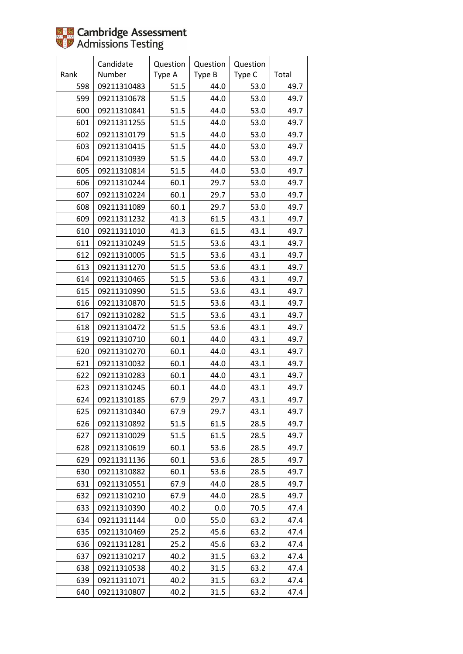|      | Candidate   | Question | Question | Question |       |
|------|-------------|----------|----------|----------|-------|
| Rank | Number      | Type A   | Type B   | Type C   | Total |
| 598  | 09211310483 | 51.5     | 44.0     | 53.0     | 49.7  |
| 599  | 09211310678 | 51.5     | 44.0     | 53.0     | 49.7  |
| 600  | 09211310841 | 51.5     | 44.0     | 53.0     | 49.7  |
| 601  | 09211311255 | 51.5     | 44.0     | 53.0     | 49.7  |
| 602  | 09211310179 | 51.5     | 44.0     | 53.0     | 49.7  |
| 603  | 09211310415 | 51.5     | 44.0     | 53.0     | 49.7  |
| 604  | 09211310939 | 51.5     | 44.0     | 53.0     | 49.7  |
| 605  | 09211310814 | 51.5     | 44.0     | 53.0     | 49.7  |
| 606  | 09211310244 | 60.1     | 29.7     | 53.0     | 49.7  |
| 607  | 09211310224 | 60.1     | 29.7     | 53.0     | 49.7  |
| 608  | 09211311089 | 60.1     | 29.7     | 53.0     | 49.7  |
| 609  | 09211311232 | 41.3     | 61.5     | 43.1     | 49.7  |
| 610  | 09211311010 | 41.3     | 61.5     | 43.1     | 49.7  |
| 611  | 09211310249 | 51.5     | 53.6     | 43.1     | 49.7  |
| 612  | 09211310005 | 51.5     | 53.6     | 43.1     | 49.7  |
| 613  | 09211311270 | 51.5     | 53.6     | 43.1     | 49.7  |
| 614  | 09211310465 | 51.5     | 53.6     | 43.1     | 49.7  |
| 615  | 09211310990 | 51.5     | 53.6     | 43.1     | 49.7  |
| 616  | 09211310870 | 51.5     | 53.6     | 43.1     | 49.7  |
| 617  | 09211310282 | 51.5     | 53.6     | 43.1     | 49.7  |
| 618  | 09211310472 | 51.5     | 53.6     | 43.1     | 49.7  |
| 619  | 09211310710 | 60.1     | 44.0     | 43.1     | 49.7  |
| 620  | 09211310270 | 60.1     | 44.0     | 43.1     | 49.7  |
| 621  | 09211310032 | 60.1     | 44.0     | 43.1     | 49.7  |
| 622  | 09211310283 | 60.1     | 44.0     | 43.1     | 49.7  |
| 623  | 09211310245 | 60.1     | 44.0     | 43.1     | 49.7  |
| 624  | 09211310185 | 67.9     | 29.7     | 43.1     | 49.7  |
| 625  | 09211310340 | 67.9     | 29.7     | 43.1     | 49.7  |
| 626  | 09211310892 | 51.5     | 61.5     | 28.5     | 49.7  |
| 627  | 09211310029 | 51.5     | 61.5     | 28.5     | 49.7  |
| 628  | 09211310619 | 60.1     | 53.6     | 28.5     | 49.7  |
| 629  | 09211311136 | 60.1     | 53.6     | 28.5     | 49.7  |
| 630  | 09211310882 | 60.1     | 53.6     | 28.5     | 49.7  |
| 631  | 09211310551 | 67.9     | 44.0     | 28.5     | 49.7  |
| 632  | 09211310210 | 67.9     | 44.0     | 28.5     | 49.7  |
| 633  | 09211310390 | 40.2     | 0.0      | 70.5     | 47.4  |
| 634  | 09211311144 | $0.0\,$  | 55.0     | 63.2     | 47.4  |
| 635  | 09211310469 | 25.2     | 45.6     | 63.2     | 47.4  |
| 636  | 09211311281 | 25.2     | 45.6     | 63.2     | 47.4  |
| 637  | 09211310217 | 40.2     | 31.5     | 63.2     | 47.4  |
| 638  | 09211310538 | 40.2     | 31.5     | 63.2     | 47.4  |
| 639  | 09211311071 | 40.2     | 31.5     | 63.2     | 47.4  |
| 640  | 09211310807 | 40.2     | 31.5     | 63.2     | 47.4  |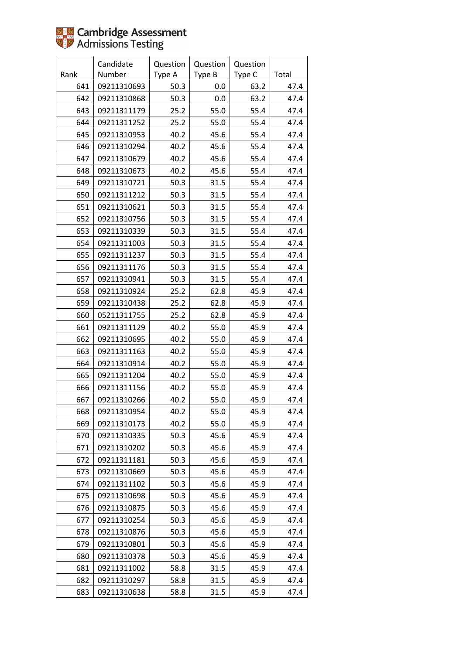|      | Candidate   | Question | Question | Question |       |
|------|-------------|----------|----------|----------|-------|
| Rank | Number      | Type A   | Type B   | Type C   | Total |
| 641  | 09211310693 | 50.3     | 0.0      | 63.2     | 47.4  |
| 642  | 09211310868 | 50.3     | 0.0      | 63.2     | 47.4  |
| 643  | 09211311179 | 25.2     | 55.0     | 55.4     | 47.4  |
| 644  | 09211311252 | 25.2     | 55.0     | 55.4     | 47.4  |
| 645  | 09211310953 | 40.2     | 45.6     | 55.4     | 47.4  |
| 646  | 09211310294 | 40.2     | 45.6     | 55.4     | 47.4  |
| 647  | 09211310679 | 40.2     | 45.6     | 55.4     | 47.4  |
| 648  | 09211310673 | 40.2     | 45.6     | 55.4     | 47.4  |
| 649  | 09211310721 | 50.3     | 31.5     | 55.4     | 47.4  |
| 650  | 09211311212 | 50.3     | 31.5     | 55.4     | 47.4  |
| 651  | 09211310621 | 50.3     | 31.5     | 55.4     | 47.4  |
| 652  | 09211310756 | 50.3     | 31.5     | 55.4     | 47.4  |
| 653  | 09211310339 | 50.3     | 31.5     | 55.4     | 47.4  |
| 654  | 09211311003 | 50.3     | 31.5     | 55.4     | 47.4  |
| 655  | 09211311237 | 50.3     | 31.5     | 55.4     | 47.4  |
| 656  | 09211311176 | 50.3     | 31.5     | 55.4     | 47.4  |
| 657  | 09211310941 | 50.3     | 31.5     | 55.4     | 47.4  |
| 658  | 09211310924 | 25.2     | 62.8     | 45.9     | 47.4  |
| 659  | 09211310438 | 25.2     | 62.8     | 45.9     | 47.4  |
| 660  | 05211311755 | 25.2     | 62.8     | 45.9     | 47.4  |
| 661  | 09211311129 | 40.2     | 55.0     | 45.9     | 47.4  |
| 662  | 09211310695 | 40.2     | 55.0     | 45.9     | 47.4  |
| 663  | 09211311163 | 40.2     | 55.0     | 45.9     | 47.4  |
| 664  | 09211310914 | 40.2     | 55.0     | 45.9     | 47.4  |
| 665  | 09211311204 | 40.2     | 55.0     | 45.9     | 47.4  |
| 666  | 09211311156 | 40.2     | 55.0     | 45.9     | 47.4  |
| 667  | 09211310266 | 40.2     | 55.0     | 45.9     | 47.4  |
| 668  | 09211310954 | 40.2     | 55.0     | 45.9     | 47.4  |
| 669  | 09211310173 | 40.2     | 55.0     | 45.9     | 47.4  |
| 670  | 09211310335 | 50.3     | 45.6     | 45.9     | 47.4  |
| 671  | 09211310202 | 50.3     | 45.6     | 45.9     | 47.4  |
| 672  | 09211311181 | 50.3     | 45.6     | 45.9     | 47.4  |
| 673  | 09211310669 | 50.3     | 45.6     | 45.9     | 47.4  |
| 674  | 09211311102 | 50.3     | 45.6     | 45.9     | 47.4  |
| 675  | 09211310698 | 50.3     | 45.6     | 45.9     | 47.4  |
| 676  | 09211310875 | 50.3     | 45.6     | 45.9     | 47.4  |
| 677  | 09211310254 | 50.3     | 45.6     | 45.9     | 47.4  |
| 678  | 09211310876 | 50.3     | 45.6     | 45.9     | 47.4  |
| 679  | 09211310801 | 50.3     | 45.6     | 45.9     | 47.4  |
| 680  | 09211310378 | 50.3     | 45.6     | 45.9     | 47.4  |
| 681  | 09211311002 | 58.8     | 31.5     | 45.9     | 47.4  |
| 682  | 09211310297 | 58.8     | 31.5     | 45.9     | 47.4  |
| 683  | 09211310638 | 58.8     | 31.5     | 45.9     | 47.4  |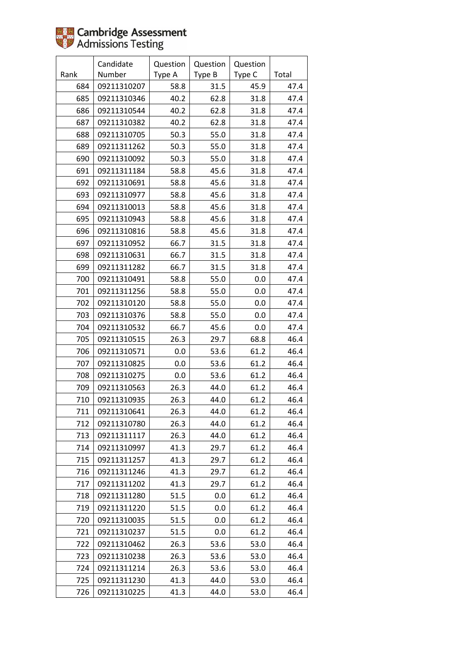|      | Candidate   | Question | Question | Question |       |
|------|-------------|----------|----------|----------|-------|
| Rank | Number      | Type A   | Type B   | Type C   | Total |
| 684  | 09211310207 | 58.8     | 31.5     | 45.9     | 47.4  |
| 685  | 09211310346 | 40.2     | 62.8     | 31.8     | 47.4  |
| 686  | 09211310544 | 40.2     | 62.8     | 31.8     | 47.4  |
| 687  | 09211310382 | 40.2     | 62.8     | 31.8     | 47.4  |
| 688  | 09211310705 | 50.3     | 55.0     | 31.8     | 47.4  |
| 689  | 09211311262 | 50.3     | 55.0     | 31.8     | 47.4  |
| 690  | 09211310092 | 50.3     | 55.0     | 31.8     | 47.4  |
| 691  | 09211311184 | 58.8     | 45.6     | 31.8     | 47.4  |
| 692  | 09211310691 | 58.8     | 45.6     | 31.8     | 47.4  |
| 693  | 09211310977 | 58.8     | 45.6     | 31.8     | 47.4  |
| 694  | 09211310013 | 58.8     | 45.6     | 31.8     | 47.4  |
| 695  | 09211310943 | 58.8     | 45.6     | 31.8     | 47.4  |
| 696  | 09211310816 | 58.8     | 45.6     | 31.8     | 47.4  |
| 697  | 09211310952 | 66.7     | 31.5     | 31.8     | 47.4  |
| 698  | 09211310631 | 66.7     | 31.5     | 31.8     | 47.4  |
| 699  | 09211311282 | 66.7     | 31.5     | 31.8     | 47.4  |
| 700  | 09211310491 | 58.8     | 55.0     | 0.0      | 47.4  |
| 701  | 09211311256 | 58.8     | 55.0     | 0.0      | 47.4  |
| 702  | 09211310120 | 58.8     | 55.0     | 0.0      | 47.4  |
| 703  | 09211310376 | 58.8     | 55.0     | 0.0      | 47.4  |
| 704  | 09211310532 | 66.7     | 45.6     | 0.0      | 47.4  |
| 705  | 09211310515 | 26.3     | 29.7     | 68.8     | 46.4  |
| 706  | 09211310571 | 0.0      | 53.6     | 61.2     | 46.4  |
| 707  | 09211310825 | 0.0      | 53.6     | 61.2     | 46.4  |
| 708  | 09211310275 | 0.0      | 53.6     | 61.2     | 46.4  |
| 709  | 09211310563 | 26.3     | 44.0     | 61.2     | 46.4  |
| 710  | 09211310935 | 26.3     | 44.0     | 61.2     | 46.4  |
| 711  | 09211310641 | 26.3     | 44.0     | 61.2     | 46.4  |
| 712  | 09211310780 | 26.3     | 44.0     | 61.2     | 46.4  |
| 713  | 09211311117 | 26.3     | 44.0     | 61.2     | 46.4  |
| 714  | 09211310997 | 41.3     | 29.7     | 61.2     | 46.4  |
| 715  | 09211311257 | 41.3     | 29.7     | 61.2     | 46.4  |
| 716  | 09211311246 | 41.3     | 29.7     | 61.2     | 46.4  |
| 717  | 09211311202 | 41.3     | 29.7     | 61.2     | 46.4  |
| 718  | 09211311280 | 51.5     | 0.0      | 61.2     | 46.4  |
| 719  | 09211311220 | 51.5     | 0.0      | 61.2     | 46.4  |
| 720  | 09211310035 | 51.5     | 0.0      | 61.2     | 46.4  |
| 721  | 09211310237 | 51.5     | 0.0      | 61.2     | 46.4  |
| 722  | 09211310462 | 26.3     | 53.6     | 53.0     | 46.4  |
| 723  | 09211310238 | 26.3     | 53.6     | 53.0     | 46.4  |
| 724  | 09211311214 | 26.3     | 53.6     | 53.0     | 46.4  |
| 725  | 09211311230 | 41.3     | 44.0     | 53.0     | 46.4  |
| 726  | 09211310225 | 41.3     | 44.0     | 53.0     | 46.4  |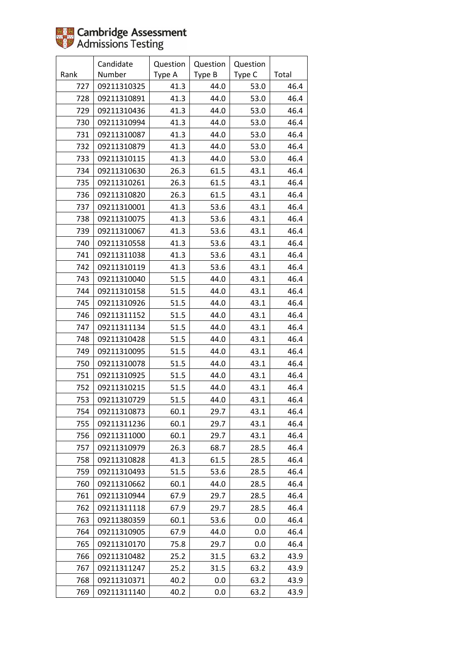|      | Candidate   | Question | Question | Question |       |
|------|-------------|----------|----------|----------|-------|
| Rank | Number      | Type A   | Type B   | Type C   | Total |
| 727  | 09211310325 | 41.3     | 44.0     | 53.0     | 46.4  |
| 728  | 09211310891 | 41.3     | 44.0     | 53.0     | 46.4  |
| 729  | 09211310436 | 41.3     | 44.0     | 53.0     | 46.4  |
| 730  | 09211310994 | 41.3     | 44.0     | 53.0     | 46.4  |
| 731  | 09211310087 | 41.3     | 44.0     | 53.0     | 46.4  |
| 732  | 09211310879 | 41.3     | 44.0     | 53.0     | 46.4  |
| 733  | 09211310115 | 41.3     | 44.0     | 53.0     | 46.4  |
| 734  | 09211310630 | 26.3     | 61.5     | 43.1     | 46.4  |
| 735  | 09211310261 | 26.3     | 61.5     | 43.1     | 46.4  |
| 736  | 09211310820 | 26.3     | 61.5     | 43.1     | 46.4  |
| 737  | 09211310001 | 41.3     | 53.6     | 43.1     | 46.4  |
| 738  | 09211310075 | 41.3     | 53.6     | 43.1     | 46.4  |
| 739  | 09211310067 | 41.3     | 53.6     | 43.1     | 46.4  |
| 740  | 09211310558 | 41.3     | 53.6     | 43.1     | 46.4  |
| 741  | 09211311038 | 41.3     | 53.6     | 43.1     | 46.4  |
| 742  | 09211310119 | 41.3     | 53.6     | 43.1     | 46.4  |
| 743  | 09211310040 | 51.5     | 44.0     | 43.1     | 46.4  |
| 744  | 09211310158 | 51.5     | 44.0     | 43.1     | 46.4  |
| 745  | 09211310926 | 51.5     | 44.0     | 43.1     | 46.4  |
| 746  | 09211311152 | 51.5     | 44.0     | 43.1     | 46.4  |
| 747  | 09211311134 | 51.5     | 44.0     | 43.1     | 46.4  |
| 748  | 09211310428 | 51.5     | 44.0     | 43.1     | 46.4  |
| 749  | 09211310095 | 51.5     | 44.0     | 43.1     | 46.4  |
| 750  | 09211310078 | 51.5     | 44.0     | 43.1     | 46.4  |
| 751  | 09211310925 | 51.5     | 44.0     | 43.1     | 46.4  |
| 752  | 09211310215 | 51.5     | 44.0     | 43.1     | 46.4  |
| 753  | 09211310729 | 51.5     | 44.0     | 43.1     | 46.4  |
| 754  | 09211310873 | 60.1     | 29.7     | 43.1     | 46.4  |
| 755  | 09211311236 | 60.1     | 29.7     | 43.1     | 46.4  |
| 756  | 09211311000 | 60.1     | 29.7     | 43.1     | 46.4  |
| 757  | 09211310979 | 26.3     | 68.7     | 28.5     | 46.4  |
| 758  | 09211310828 | 41.3     | 61.5     | 28.5     | 46.4  |
| 759  | 09211310493 | 51.5     | 53.6     | 28.5     | 46.4  |
| 760  | 09211310662 | 60.1     | 44.0     | 28.5     | 46.4  |
| 761  | 09211310944 | 67.9     | 29.7     | 28.5     | 46.4  |
| 762  | 09211311118 | 67.9     | 29.7     | 28.5     | 46.4  |
| 763  | 09211380359 | 60.1     | 53.6     | 0.0      | 46.4  |
| 764  | 09211310905 | 67.9     | 44.0     | 0.0      | 46.4  |
| 765  | 09211310170 | 75.8     | 29.7     | 0.0      | 46.4  |
| 766  | 09211310482 | 25.2     | 31.5     | 63.2     | 43.9  |
| 767  | 09211311247 | 25.2     | 31.5     | 63.2     | 43.9  |
| 768  | 09211310371 | 40.2     | 0.0      | 63.2     | 43.9  |
| 769  | 09211311140 | 40.2     | 0.0      | 63.2     | 43.9  |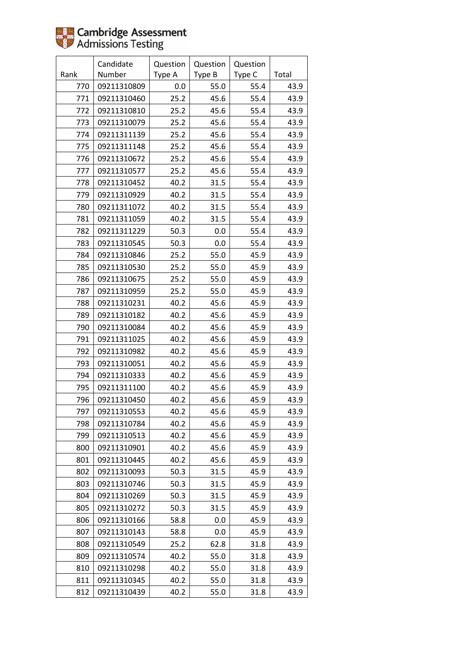|      | Candidate   | Question | Question | Question |       |
|------|-------------|----------|----------|----------|-------|
| Rank | Number      | Type A   | Type B   | Type C   | Total |
| 770  | 09211310809 | 0.0      | 55.0     | 55.4     | 43.9  |
| 771  | 09211310460 | 25.2     | 45.6     | 55.4     | 43.9  |
| 772  | 09211310810 | 25.2     | 45.6     | 55.4     | 43.9  |
| 773  | 09211310079 | 25.2     | 45.6     | 55.4     | 43.9  |
| 774  | 09211311139 | 25.2     | 45.6     | 55.4     | 43.9  |
| 775  | 09211311148 | 25.2     | 45.6     | 55.4     | 43.9  |
| 776  | 09211310672 | 25.2     | 45.6     | 55.4     | 43.9  |
| 777  | 09211310577 | 25.2     | 45.6     | 55.4     | 43.9  |
| 778  | 09211310452 | 40.2     | 31.5     | 55.4     | 43.9  |
| 779  | 09211310929 | 40.2     | 31.5     | 55.4     | 43.9  |
| 780  | 09211311072 | 40.2     | 31.5     | 55.4     | 43.9  |
| 781  | 09211311059 | 40.2     | 31.5     | 55.4     | 43.9  |
| 782  | 09211311229 | 50.3     | 0.0      | 55.4     | 43.9  |
| 783  | 09211310545 | 50.3     | 0.0      | 55.4     | 43.9  |
| 784  | 09211310846 | 25.2     | 55.0     | 45.9     | 43.9  |
| 785  | 09211310530 | 25.2     | 55.0     | 45.9     | 43.9  |
| 786  | 09211310675 | 25.2     | 55.0     | 45.9     | 43.9  |
| 787  | 09211310959 | 25.2     | 55.0     | 45.9     | 43.9  |
| 788  | 09211310231 | 40.2     | 45.6     | 45.9     | 43.9  |
| 789  | 09211310182 | 40.2     | 45.6     | 45.9     | 43.9  |
| 790  | 09211310084 | 40.2     | 45.6     | 45.9     | 43.9  |
| 791  | 09211311025 | 40.2     | 45.6     | 45.9     | 43.9  |
| 792  | 09211310982 | 40.2     | 45.6     | 45.9     | 43.9  |
| 793  | 09211310051 | 40.2     | 45.6     | 45.9     | 43.9  |
| 794  | 09211310333 | 40.2     | 45.6     | 45.9     | 43.9  |
| 795  | 09211311100 | 40.2     | 45.6     | 45.9     | 43.9  |
| 796  | 09211310450 | 40.2     | 45.6     | 45.9     | 43.9  |
| 797  | 09211310553 | 40.2     | 45.6     | 45.9     | 43.9  |
| 798  | 09211310784 | 40.2     | 45.6     | 45.9     | 43.9  |
| 799  | 09211310513 | 40.2     | 45.6     | 45.9     | 43.9  |
| 800  | 09211310901 | 40.2     | 45.6     | 45.9     | 43.9  |
| 801  | 09211310445 | 40.2     | 45.6     | 45.9     | 43.9  |
| 802  | 09211310093 | 50.3     | 31.5     | 45.9     | 43.9  |
| 803  | 09211310746 | 50.3     | 31.5     | 45.9     | 43.9  |
| 804  | 09211310269 | 50.3     | 31.5     | 45.9     | 43.9  |
| 805  | 09211310272 | 50.3     | 31.5     | 45.9     | 43.9  |
| 806  | 09211310166 | 58.8     | 0.0      | 45.9     | 43.9  |
| 807  | 09211310143 | 58.8     | 0.0      | 45.9     | 43.9  |
| 808  | 09211310549 | 25.2     | 62.8     | 31.8     | 43.9  |
| 809  | 09211310574 | 40.2     | 55.0     | 31.8     | 43.9  |
| 810  | 09211310298 | 40.2     | 55.0     | 31.8     | 43.9  |
| 811  | 09211310345 | 40.2     | 55.0     | 31.8     | 43.9  |
| 812  | 09211310439 | 40.2     | 55.0     | 31.8     | 43.9  |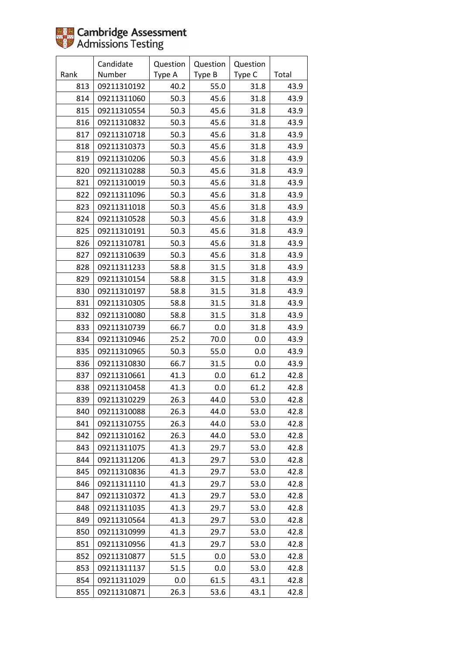|      | Candidate   | Question | Question | Question |       |
|------|-------------|----------|----------|----------|-------|
| Rank | Number      | Type A   | Type B   | Type C   | Total |
| 813  | 09211310192 | 40.2     | 55.0     | 31.8     | 43.9  |
| 814  | 09211311060 | 50.3     | 45.6     | 31.8     | 43.9  |
| 815  | 09211310554 | 50.3     | 45.6     | 31.8     | 43.9  |
| 816  | 09211310832 | 50.3     | 45.6     | 31.8     | 43.9  |
| 817  | 09211310718 | 50.3     | 45.6     | 31.8     | 43.9  |
| 818  | 09211310373 | 50.3     | 45.6     | 31.8     | 43.9  |
| 819  | 09211310206 | 50.3     | 45.6     | 31.8     | 43.9  |
| 820  | 09211310288 | 50.3     | 45.6     | 31.8     | 43.9  |
| 821  | 09211310019 | 50.3     | 45.6     | 31.8     | 43.9  |
| 822  | 09211311096 | 50.3     | 45.6     | 31.8     | 43.9  |
| 823  | 09211311018 | 50.3     | 45.6     | 31.8     | 43.9  |
| 824  | 09211310528 | 50.3     | 45.6     | 31.8     | 43.9  |
| 825  | 09211310191 | 50.3     | 45.6     | 31.8     | 43.9  |
| 826  | 09211310781 | 50.3     | 45.6     | 31.8     | 43.9  |
| 827  | 09211310639 | 50.3     | 45.6     | 31.8     | 43.9  |
| 828  | 09211311233 | 58.8     | 31.5     | 31.8     | 43.9  |
| 829  | 09211310154 | 58.8     | 31.5     | 31.8     | 43.9  |
| 830  | 09211310197 | 58.8     | 31.5     | 31.8     | 43.9  |
| 831  | 09211310305 | 58.8     | 31.5     | 31.8     | 43.9  |
| 832  | 09211310080 | 58.8     | 31.5     | 31.8     | 43.9  |
| 833  | 09211310739 | 66.7     | 0.0      | 31.8     | 43.9  |
| 834  | 09211310946 | 25.2     | 70.0     | 0.0      | 43.9  |
| 835  | 09211310965 | 50.3     | 55.0     | 0.0      | 43.9  |
| 836  | 09211310830 | 66.7     | 31.5     | 0.0      | 43.9  |
| 837  | 09211310661 | 41.3     | 0.0      | 61.2     | 42.8  |
| 838  | 09211310458 | 41.3     | 0.0      | 61.2     | 42.8  |
| 839  | 09211310229 | 26.3     | 44.0     | 53.0     | 42.8  |
| 840  | 09211310088 | 26.3     | 44.0     | 53.0     | 42.8  |
| 841  | 09211310755 | 26.3     | 44.0     | 53.0     | 42.8  |
| 842  | 09211310162 | 26.3     | 44.0     | 53.0     | 42.8  |
| 843  | 09211311075 | 41.3     | 29.7     | 53.0     | 42.8  |
| 844  | 09211311206 | 41.3     | 29.7     | 53.0     | 42.8  |
| 845  | 09211310836 | 41.3     | 29.7     | 53.0     | 42.8  |
| 846  | 09211311110 | 41.3     | 29.7     | 53.0     | 42.8  |
| 847  | 09211310372 | 41.3     | 29.7     | 53.0     | 42.8  |
| 848  | 09211311035 | 41.3     | 29.7     | 53.0     | 42.8  |
| 849  | 09211310564 | 41.3     | 29.7     | 53.0     | 42.8  |
| 850  | 09211310999 | 41.3     | 29.7     | 53.0     | 42.8  |
| 851  | 09211310956 | 41.3     | 29.7     | 53.0     | 42.8  |
| 852  | 09211310877 | 51.5     | 0.0      | 53.0     | 42.8  |
| 853  | 09211311137 | 51.5     | 0.0      | 53.0     | 42.8  |
| 854  | 09211311029 | 0.0      | 61.5     | 43.1     | 42.8  |
| 855  | 09211310871 | 26.3     | 53.6     | 43.1     | 42.8  |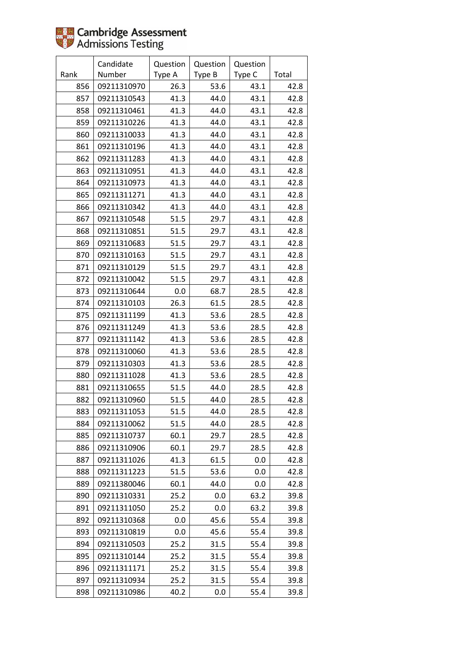|      | Candidate   | Question | Question | Question |       |
|------|-------------|----------|----------|----------|-------|
| Rank | Number      | Type A   | Type B   | Type C   | Total |
| 856  | 09211310970 | 26.3     | 53.6     | 43.1     | 42.8  |
| 857  | 09211310543 | 41.3     | 44.0     | 43.1     | 42.8  |
| 858  | 09211310461 | 41.3     | 44.0     | 43.1     | 42.8  |
| 859  | 09211310226 | 41.3     | 44.0     | 43.1     | 42.8  |
| 860  | 09211310033 | 41.3     | 44.0     | 43.1     | 42.8  |
| 861  | 09211310196 | 41.3     | 44.0     | 43.1     | 42.8  |
| 862  | 09211311283 | 41.3     | 44.0     | 43.1     | 42.8  |
| 863  | 09211310951 | 41.3     | 44.0     | 43.1     | 42.8  |
| 864  | 09211310973 | 41.3     | 44.0     | 43.1     | 42.8  |
| 865  | 09211311271 | 41.3     | 44.0     | 43.1     | 42.8  |
| 866  | 09211310342 | 41.3     | 44.0     | 43.1     | 42.8  |
| 867  | 09211310548 | 51.5     | 29.7     | 43.1     | 42.8  |
| 868  | 09211310851 | 51.5     | 29.7     | 43.1     | 42.8  |
| 869  | 09211310683 | 51.5     | 29.7     | 43.1     | 42.8  |
| 870  | 09211310163 | 51.5     | 29.7     | 43.1     | 42.8  |
| 871  | 09211310129 | 51.5     | 29.7     | 43.1     | 42.8  |
| 872  | 09211310042 | 51.5     | 29.7     | 43.1     | 42.8  |
| 873  | 09211310644 | 0.0      | 68.7     | 28.5     | 42.8  |
| 874  | 09211310103 | 26.3     | 61.5     | 28.5     | 42.8  |
| 875  | 09211311199 | 41.3     | 53.6     | 28.5     | 42.8  |
| 876  | 09211311249 | 41.3     | 53.6     | 28.5     | 42.8  |
| 877  | 09211311142 | 41.3     | 53.6     | 28.5     | 42.8  |
| 878  | 09211310060 | 41.3     | 53.6     | 28.5     | 42.8  |
| 879  | 09211310303 | 41.3     | 53.6     | 28.5     | 42.8  |
| 880  | 09211311028 | 41.3     | 53.6     | 28.5     | 42.8  |
| 881  | 09211310655 | 51.5     | 44.0     | 28.5     | 42.8  |
| 882  | 09211310960 | 51.5     | 44.0     | 28.5     | 42.8  |
| 883  | 09211311053 | 51.5     | 44.0     | 28.5     | 42.8  |
| 884  | 09211310062 | 51.5     | 44.0     | 28.5     | 42.8  |
| 885  | 09211310737 | 60.1     | 29.7     | 28.5     | 42.8  |
| 886  | 09211310906 | 60.1     | 29.7     | 28.5     | 42.8  |
| 887  | 09211311026 | 41.3     | 61.5     | 0.0      | 42.8  |
| 888  | 09211311223 | 51.5     | 53.6     | 0.0      | 42.8  |
| 889  | 09211380046 | 60.1     | 44.0     | 0.0      | 42.8  |
| 890  | 09211310331 | 25.2     | 0.0      | 63.2     | 39.8  |
| 891  | 09211311050 | 25.2     | 0.0      | 63.2     | 39.8  |
| 892  | 09211310368 | $0.0\,$  | 45.6     | 55.4     | 39.8  |
| 893  | 09211310819 | 0.0      | 45.6     | 55.4     | 39.8  |
| 894  | 09211310503 | 25.2     | 31.5     | 55.4     | 39.8  |
| 895  | 09211310144 | 25.2     | 31.5     | 55.4     | 39.8  |
| 896  | 09211311171 | 25.2     | 31.5     | 55.4     | 39.8  |
| 897  | 09211310934 | 25.2     | 31.5     | 55.4     | 39.8  |
| 898  | 09211310986 | 40.2     | 0.0      | 55.4     | 39.8  |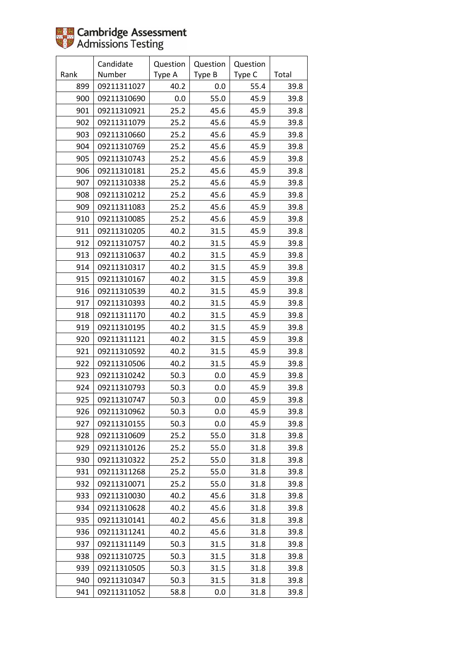|      | Candidate   | Question | Question | Question |       |
|------|-------------|----------|----------|----------|-------|
| Rank | Number      | Type A   | Type B   | Type C   | Total |
| 899  | 09211311027 | 40.2     | 0.0      | 55.4     | 39.8  |
| 900  | 09211310690 | 0.0      | 55.0     | 45.9     | 39.8  |
| 901  | 09211310921 | 25.2     | 45.6     | 45.9     | 39.8  |
| 902  | 09211311079 | 25.2     | 45.6     | 45.9     | 39.8  |
| 903  | 09211310660 | 25.2     | 45.6     | 45.9     | 39.8  |
| 904  | 09211310769 | 25.2     | 45.6     | 45.9     | 39.8  |
| 905  | 09211310743 | 25.2     | 45.6     | 45.9     | 39.8  |
| 906  | 09211310181 | 25.2     | 45.6     | 45.9     | 39.8  |
| 907  | 09211310338 | 25.2     | 45.6     | 45.9     | 39.8  |
| 908  | 09211310212 | 25.2     | 45.6     | 45.9     | 39.8  |
| 909  | 09211311083 | 25.2     | 45.6     | 45.9     | 39.8  |
| 910  | 09211310085 | 25.2     | 45.6     | 45.9     | 39.8  |
| 911  | 09211310205 | 40.2     | 31.5     | 45.9     | 39.8  |
| 912  | 09211310757 | 40.2     | 31.5     | 45.9     | 39.8  |
| 913  | 09211310637 | 40.2     | 31.5     | 45.9     | 39.8  |
| 914  | 09211310317 | 40.2     | 31.5     | 45.9     | 39.8  |
| 915  | 09211310167 | 40.2     | 31.5     | 45.9     | 39.8  |
| 916  | 09211310539 | 40.2     | 31.5     | 45.9     | 39.8  |
| 917  | 09211310393 | 40.2     | 31.5     | 45.9     | 39.8  |
| 918  | 09211311170 | 40.2     | 31.5     | 45.9     | 39.8  |
| 919  | 09211310195 | 40.2     | 31.5     | 45.9     | 39.8  |
| 920  | 09211311121 | 40.2     | 31.5     | 45.9     | 39.8  |
| 921  | 09211310592 | 40.2     | 31.5     | 45.9     | 39.8  |
| 922  | 09211310506 | 40.2     | 31.5     | 45.9     | 39.8  |
| 923  | 09211310242 | 50.3     | $0.0\,$  | 45.9     | 39.8  |
| 924  | 09211310793 | 50.3     | 0.0      | 45.9     | 39.8  |
| 925  | 09211310747 | 50.3     | 0.0      | 45.9     | 39.8  |
| 926  | 09211310962 | 50.3     | 0.0      | 45.9     | 39.8  |
| 927  | 09211310155 | 50.3     | 0.0      | 45.9     | 39.8  |
| 928  | 09211310609 | 25.2     | 55.0     | 31.8     | 39.8  |
| 929  | 09211310126 | 25.2     | 55.0     | 31.8     | 39.8  |
| 930  | 09211310322 | 25.2     | 55.0     | 31.8     | 39.8  |
| 931  | 09211311268 | 25.2     | 55.0     | 31.8     | 39.8  |
| 932  | 09211310071 | 25.2     | 55.0     | 31.8     | 39.8  |
| 933  | 09211310030 | 40.2     | 45.6     | 31.8     | 39.8  |
| 934  | 09211310628 | 40.2     | 45.6     | 31.8     | 39.8  |
| 935  | 09211310141 | 40.2     | 45.6     | 31.8     | 39.8  |
| 936  | 09211311241 | 40.2     | 45.6     | 31.8     | 39.8  |
| 937  | 09211311149 | 50.3     | 31.5     | 31.8     | 39.8  |
| 938  | 09211310725 | 50.3     | 31.5     | 31.8     | 39.8  |
| 939  | 09211310505 | 50.3     | 31.5     | 31.8     | 39.8  |
| 940  | 09211310347 | 50.3     | 31.5     | 31.8     | 39.8  |
| 941  | 09211311052 | 58.8     | 0.0      | 31.8     | 39.8  |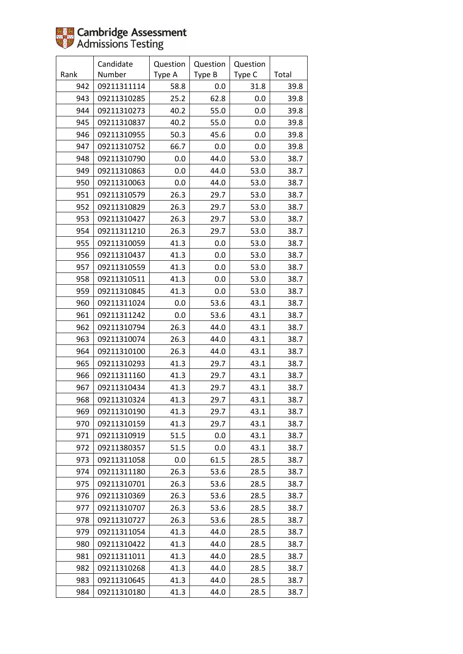|      | Candidate   | Question | Question | Question |       |
|------|-------------|----------|----------|----------|-------|
| Rank | Number      | Type A   | Type B   | Type C   | Total |
| 942  | 09211311114 | 58.8     | 0.0      | 31.8     | 39.8  |
| 943  | 09211310285 | 25.2     | 62.8     | 0.0      | 39.8  |
| 944  | 09211310273 | 40.2     | 55.0     | 0.0      | 39.8  |
| 945  | 09211310837 | 40.2     | 55.0     | 0.0      | 39.8  |
| 946  | 09211310955 | 50.3     | 45.6     | 0.0      | 39.8  |
| 947  | 09211310752 | 66.7     | 0.0      | 0.0      | 39.8  |
| 948  | 09211310790 | 0.0      | 44.0     | 53.0     | 38.7  |
| 949  | 09211310863 | 0.0      | 44.0     | 53.0     | 38.7  |
| 950  | 09211310063 | 0.0      | 44.0     | 53.0     | 38.7  |
| 951  | 09211310579 | 26.3     | 29.7     | 53.0     | 38.7  |
| 952  | 09211310829 | 26.3     | 29.7     | 53.0     | 38.7  |
| 953  | 09211310427 | 26.3     | 29.7     | 53.0     | 38.7  |
| 954  | 09211311210 | 26.3     | 29.7     | 53.0     | 38.7  |
| 955  | 09211310059 | 41.3     | 0.0      | 53.0     | 38.7  |
| 956  | 09211310437 | 41.3     | 0.0      | 53.0     | 38.7  |
| 957  | 09211310559 | 41.3     | 0.0      | 53.0     | 38.7  |
| 958  | 09211310511 | 41.3     | 0.0      | 53.0     | 38.7  |
| 959  | 09211310845 | 41.3     | 0.0      | 53.0     | 38.7  |
| 960  | 09211311024 | 0.0      | 53.6     | 43.1     | 38.7  |
| 961  | 09211311242 | 0.0      | 53.6     | 43.1     | 38.7  |
| 962  | 09211310794 | 26.3     | 44.0     | 43.1     | 38.7  |
| 963  | 09211310074 | 26.3     | 44.0     | 43.1     | 38.7  |
| 964  | 09211310100 | 26.3     | 44.0     | 43.1     | 38.7  |
| 965  | 09211310293 | 41.3     | 29.7     | 43.1     | 38.7  |
| 966  | 09211311160 | 41.3     | 29.7     | 43.1     | 38.7  |
| 967  | 09211310434 | 41.3     | 29.7     | 43.1     | 38.7  |
| 968  | 09211310324 | 41.3     | 29.7     | 43.1     | 38.7  |
| 969  | 09211310190 | 41.3     | 29.7     | 43.1     | 38.7  |
| 970  | 09211310159 | 41.3     | 29.7     | 43.1     | 38.7  |
| 971  | 09211310919 | 51.5     | 0.0      | 43.1     | 38.7  |
| 972  | 09211380357 | 51.5     | 0.0      | 43.1     | 38.7  |
| 973  | 09211311058 | 0.0      | 61.5     | 28.5     | 38.7  |
| 974  | 09211311180 | 26.3     | 53.6     | 28.5     | 38.7  |
| 975  | 09211310701 | 26.3     | 53.6     | 28.5     | 38.7  |
| 976  | 09211310369 | 26.3     | 53.6     | 28.5     | 38.7  |
| 977  | 09211310707 | 26.3     | 53.6     | 28.5     | 38.7  |
| 978  | 09211310727 | 26.3     | 53.6     | 28.5     | 38.7  |
| 979  | 09211311054 | 41.3     | 44.0     | 28.5     | 38.7  |
| 980  | 09211310422 | 41.3     | 44.0     | 28.5     | 38.7  |
| 981  | 09211311011 | 41.3     | 44.0     | 28.5     | 38.7  |
| 982  | 09211310268 | 41.3     | 44.0     | 28.5     | 38.7  |
| 983  | 09211310645 | 41.3     | 44.0     | 28.5     | 38.7  |
| 984  | 09211310180 | 41.3     | 44.0     | 28.5     | 38.7  |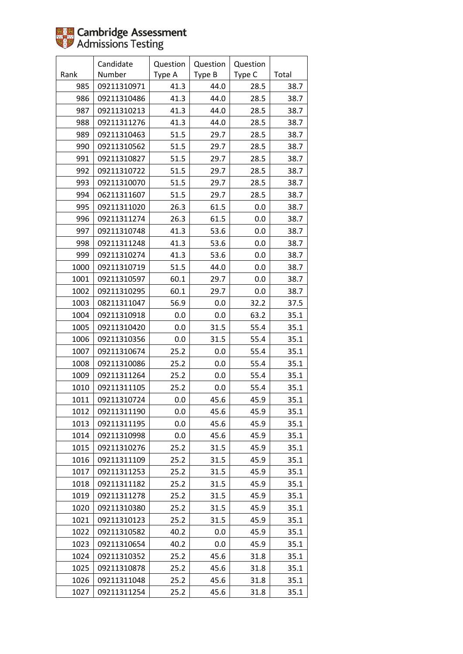|      | Candidate   | Question | Question | Question |       |
|------|-------------|----------|----------|----------|-------|
| Rank | Number      | Type A   | Type B   | Type C   | Total |
| 985  | 09211310971 | 41.3     | 44.0     | 28.5     | 38.7  |
| 986  | 09211310486 | 41.3     | 44.0     | 28.5     | 38.7  |
| 987  | 09211310213 | 41.3     | 44.0     | 28.5     | 38.7  |
| 988  | 09211311276 | 41.3     | 44.0     | 28.5     | 38.7  |
| 989  | 09211310463 | 51.5     | 29.7     | 28.5     | 38.7  |
| 990  | 09211310562 | 51.5     | 29.7     | 28.5     | 38.7  |
| 991  | 09211310827 | 51.5     | 29.7     | 28.5     | 38.7  |
| 992  | 09211310722 | 51.5     | 29.7     | 28.5     | 38.7  |
| 993  | 09211310070 | 51.5     | 29.7     | 28.5     | 38.7  |
| 994  | 06211311607 | 51.5     | 29.7     | 28.5     | 38.7  |
| 995  | 09211311020 | 26.3     | 61.5     | 0.0      | 38.7  |
| 996  | 09211311274 | 26.3     | 61.5     | 0.0      | 38.7  |
| 997  | 09211310748 | 41.3     | 53.6     | 0.0      | 38.7  |
| 998  | 09211311248 | 41.3     | 53.6     | 0.0      | 38.7  |
| 999  | 09211310274 | 41.3     | 53.6     | 0.0      | 38.7  |
| 1000 | 09211310719 | 51.5     | 44.0     | 0.0      | 38.7  |
| 1001 | 09211310597 | 60.1     | 29.7     | 0.0      | 38.7  |
| 1002 | 09211310295 | 60.1     | 29.7     | 0.0      | 38.7  |
| 1003 | 08211311047 | 56.9     | 0.0      | 32.2     | 37.5  |
| 1004 | 09211310918 | 0.0      | 0.0      | 63.2     | 35.1  |
| 1005 | 09211310420 | 0.0      | 31.5     | 55.4     | 35.1  |
| 1006 | 09211310356 | 0.0      | 31.5     | 55.4     | 35.1  |
| 1007 | 09211310674 | 25.2     | 0.0      | 55.4     | 35.1  |
| 1008 | 09211310086 | 25.2     | 0.0      | 55.4     | 35.1  |
| 1009 | 09211311264 | 25.2     | 0.0      | 55.4     | 35.1  |
| 1010 | 09211311105 | 25.2     | 0.0      | 55.4     | 35.1  |
| 1011 | 09211310724 | 0.0      | 45.6     | 45.9     | 35.1  |
| 1012 | 09211311190 | 0.0      | 45.6     | 45.9     | 35.1  |
| 1013 | 09211311195 | 0.0      | 45.6     | 45.9     | 35.1  |
| 1014 | 09211310998 | 0.0      | 45.6     | 45.9     | 35.1  |
| 1015 | 09211310276 | 25.2     | 31.5     | 45.9     | 35.1  |
| 1016 | 09211311109 | 25.2     | 31.5     | 45.9     | 35.1  |
| 1017 | 09211311253 | 25.2     | 31.5     | 45.9     | 35.1  |
| 1018 | 09211311182 | 25.2     | 31.5     | 45.9     | 35.1  |
| 1019 | 09211311278 | 25.2     | 31.5     | 45.9     | 35.1  |
| 1020 | 09211310380 | 25.2     | 31.5     | 45.9     | 35.1  |
| 1021 | 09211310123 | 25.2     | 31.5     | 45.9     | 35.1  |
| 1022 | 09211310582 | 40.2     | 0.0      | 45.9     | 35.1  |
| 1023 | 09211310654 | 40.2     | 0.0      | 45.9     | 35.1  |
| 1024 | 09211310352 | 25.2     | 45.6     | 31.8     | 35.1  |
| 1025 | 09211310878 | 25.2     | 45.6     | 31.8     | 35.1  |
| 1026 | 09211311048 | 25.2     | 45.6     | 31.8     | 35.1  |
| 1027 | 09211311254 | 25.2     | 45.6     | 31.8     | 35.1  |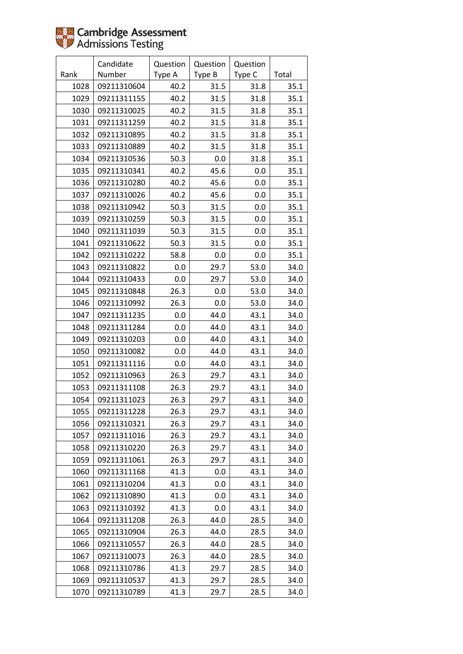|      | Candidate   | Question | Question | Question |       |
|------|-------------|----------|----------|----------|-------|
| Rank | Number      | Type A   | Type B   | Type C   | Total |
| 1028 | 09211310604 | 40.2     | 31.5     | 31.8     | 35.1  |
| 1029 | 09211311155 | 40.2     | 31.5     | 31.8     | 35.1  |
| 1030 | 09211310025 | 40.2     | 31.5     | 31.8     | 35.1  |
| 1031 | 09211311259 | 40.2     | 31.5     | 31.8     | 35.1  |
| 1032 | 09211310895 | 40.2     | 31.5     | 31.8     | 35.1  |
| 1033 | 09211310889 | 40.2     | 31.5     | 31.8     | 35.1  |
| 1034 | 09211310536 | 50.3     | 0.0      | 31.8     | 35.1  |
| 1035 | 09211310341 | 40.2     | 45.6     | 0.0      | 35.1  |
| 1036 | 09211310280 | 40.2     | 45.6     | 0.0      | 35.1  |
| 1037 | 09211310026 | 40.2     | 45.6     | 0.0      | 35.1  |
| 1038 | 09211310942 | 50.3     | 31.5     | 0.0      | 35.1  |
| 1039 | 09211310259 | 50.3     | 31.5     | 0.0      | 35.1  |
| 1040 | 09211311039 | 50.3     | 31.5     | 0.0      | 35.1  |
| 1041 | 09211310622 | 50.3     | 31.5     | 0.0      | 35.1  |
| 1042 | 09211310222 | 58.8     | 0.0      | 0.0      | 35.1  |
| 1043 | 09211310822 | 0.0      | 29.7     | 53.0     | 34.0  |
| 1044 | 09211310433 | 0.0      | 29.7     | 53.0     | 34.0  |
| 1045 | 09211310848 | 26.3     | 0.0      | 53.0     | 34.0  |
| 1046 | 09211310992 | 26.3     | 0.0      | 53.0     | 34.0  |
| 1047 | 09211311235 | 0.0      | 44.0     | 43.1     | 34.0  |
| 1048 | 09211311284 | 0.0      | 44.0     | 43.1     | 34.0  |
| 1049 | 09211310203 | 0.0      | 44.0     | 43.1     | 34.0  |
| 1050 | 09211310082 | 0.0      | 44.0     | 43.1     | 34.0  |
| 1051 | 09211311116 | 0.0      | 44.0     | 43.1     | 34.0  |
| 1052 | 09211310963 | 26.3     | 29.7     | 43.1     | 34.0  |
| 1053 | 09211311108 | 26.3     | 29.7     | 43.1     | 34.0  |
| 1054 | 09211311023 | 26.3     | 29.7     | 43.1     | 34.0  |
| 1055 | 09211311228 | 26.3     | 29.7     | 43.1     | 34.0  |
| 1056 | 09211310321 | 26.3     | 29.7     | 43.1     | 34.0  |
| 1057 | 09211311016 | 26.3     | 29.7     | 43.1     | 34.0  |
| 1058 | 09211310220 | 26.3     | 29.7     | 43.1     | 34.0  |
| 1059 | 09211311061 | 26.3     | 29.7     | 43.1     | 34.0  |
| 1060 | 09211311168 | 41.3     | 0.0      | 43.1     | 34.0  |
| 1061 | 09211310204 | 41.3     | 0.0      | 43.1     | 34.0  |
| 1062 | 09211310890 | 41.3     | 0.0      | 43.1     | 34.0  |
| 1063 | 09211310392 | 41.3     | 0.0      | 43.1     | 34.0  |
| 1064 | 09211311208 | 26.3     | 44.0     | 28.5     | 34.0  |
| 1065 | 09211310904 | 26.3     | 44.0     | 28.5     | 34.0  |
| 1066 | 09211310557 | 26.3     | 44.0     | 28.5     | 34.0  |
| 1067 | 09211310073 | 26.3     | 44.0     | 28.5     | 34.0  |
| 1068 | 09211310786 | 41.3     | 29.7     | 28.5     | 34.0  |
| 1069 | 09211310537 | 41.3     | 29.7     | 28.5     | 34.0  |
| 1070 | 09211310789 | 41.3     | 29.7     | 28.5     | 34.0  |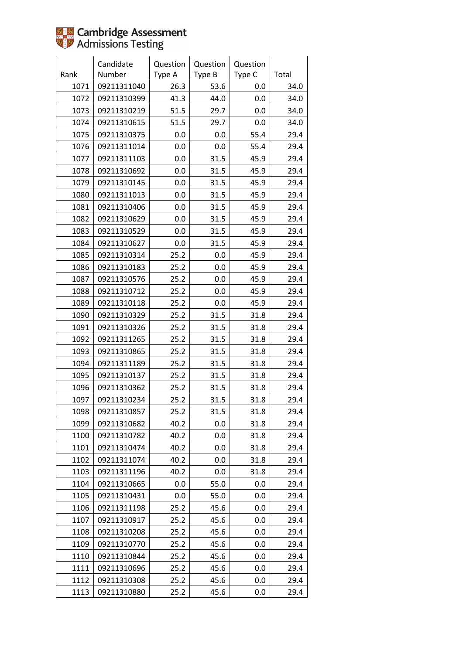|      | Candidate   | Question | Question | Question |       |
|------|-------------|----------|----------|----------|-------|
| Rank | Number      | Type A   | Type B   | Type C   | Total |
| 1071 | 09211311040 | 26.3     | 53.6     | 0.0      | 34.0  |
| 1072 | 09211310399 | 41.3     | 44.0     | 0.0      | 34.0  |
| 1073 | 09211310219 | 51.5     | 29.7     | 0.0      | 34.0  |
| 1074 | 09211310615 | 51.5     | 29.7     | 0.0      | 34.0  |
| 1075 | 09211310375 | 0.0      | 0.0      | 55.4     | 29.4  |
| 1076 | 09211311014 | 0.0      | 0.0      | 55.4     | 29.4  |
| 1077 | 09211311103 | 0.0      | 31.5     | 45.9     | 29.4  |
| 1078 | 09211310692 | 0.0      | 31.5     | 45.9     | 29.4  |
| 1079 | 09211310145 | $0.0\,$  | 31.5     | 45.9     | 29.4  |
| 1080 | 09211311013 | 0.0      | 31.5     | 45.9     | 29.4  |
| 1081 | 09211310406 | $0.0\,$  | 31.5     | 45.9     | 29.4  |
| 1082 | 09211310629 | 0.0      | 31.5     | 45.9     | 29.4  |
| 1083 | 09211310529 | $0.0\,$  | 31.5     | 45.9     | 29.4  |
| 1084 | 09211310627 | 0.0      | 31.5     | 45.9     | 29.4  |
| 1085 | 09211310314 | 25.2     | 0.0      | 45.9     | 29.4  |
| 1086 | 09211310183 | 25.2     | 0.0      | 45.9     | 29.4  |
| 1087 | 09211310576 | 25.2     | 0.0      | 45.9     | 29.4  |
| 1088 | 09211310712 | 25.2     | 0.0      | 45.9     | 29.4  |
| 1089 | 09211310118 | 25.2     | 0.0      | 45.9     | 29.4  |
| 1090 | 09211310329 | 25.2     | 31.5     | 31.8     | 29.4  |
| 1091 | 09211310326 | 25.2     | 31.5     | 31.8     | 29.4  |
| 1092 | 09211311265 | 25.2     | 31.5     | 31.8     | 29.4  |
| 1093 | 09211310865 | 25.2     | 31.5     | 31.8     | 29.4  |
| 1094 | 09211311189 | 25.2     | 31.5     | 31.8     | 29.4  |
| 1095 | 09211310137 | 25.2     | 31.5     | 31.8     | 29.4  |
| 1096 | 09211310362 | 25.2     | 31.5     | 31.8     | 29.4  |
| 1097 | 09211310234 | 25.2     | 31.5     | 31.8     | 29.4  |
| 1098 | 09211310857 | 25.2     | 31.5     | 31.8     | 29.4  |
| 1099 | 09211310682 | 40.2     | 0.0      | 31.8     | 29.4  |
| 1100 | 09211310782 | 40.2     | 0.0      | 31.8     | 29.4  |
| 1101 | 09211310474 | 40.2     | 0.0      | 31.8     | 29.4  |
| 1102 | 09211311074 | 40.2     | 0.0      | 31.8     | 29.4  |
| 1103 | 09211311196 | 40.2     | 0.0      | 31.8     | 29.4  |
| 1104 | 09211310665 | 0.0      | 55.0     | 0.0      | 29.4  |
| 1105 | 09211310431 | 0.0      | 55.0     | 0.0      | 29.4  |
| 1106 | 09211311198 | 25.2     | 45.6     | 0.0      | 29.4  |
| 1107 | 09211310917 | 25.2     | 45.6     | 0.0      | 29.4  |
| 1108 | 09211310208 | 25.2     | 45.6     | 0.0      | 29.4  |
| 1109 | 09211310770 | 25.2     | 45.6     | 0.0      | 29.4  |
| 1110 | 09211310844 | 25.2     | 45.6     | 0.0      | 29.4  |
| 1111 | 09211310696 | 25.2     | 45.6     | 0.0      | 29.4  |
| 1112 | 09211310308 | 25.2     | 45.6     | 0.0      | 29.4  |
| 1113 | 09211310880 | 25.2     | 45.6     | 0.0      | 29.4  |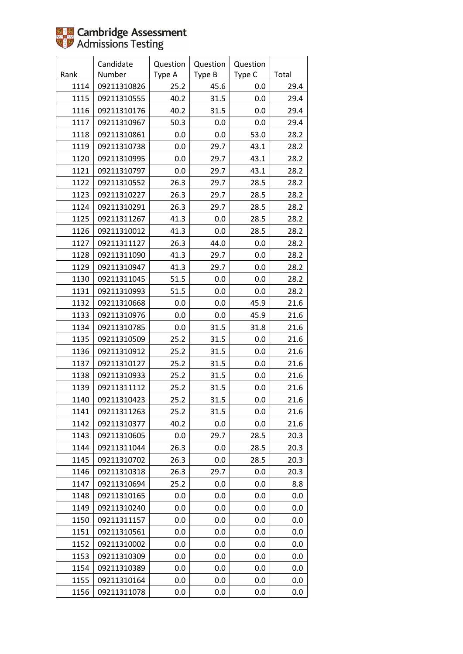|      | Candidate   | Question | Question | Question |       |
|------|-------------|----------|----------|----------|-------|
| Rank | Number      | Type A   | Type B   | Type C   | Total |
| 1114 | 09211310826 | 25.2     | 45.6     | 0.0      | 29.4  |
| 1115 | 09211310555 | 40.2     | 31.5     | 0.0      | 29.4  |
| 1116 | 09211310176 | 40.2     | 31.5     | 0.0      | 29.4  |
| 1117 | 09211310967 | 50.3     | 0.0      | 0.0      | 29.4  |
| 1118 | 09211310861 | 0.0      | 0.0      | 53.0     | 28.2  |
| 1119 | 09211310738 | $0.0\,$  | 29.7     | 43.1     | 28.2  |
| 1120 | 09211310995 | 0.0      | 29.7     | 43.1     | 28.2  |
| 1121 | 09211310797 | 0.0      | 29.7     | 43.1     | 28.2  |
| 1122 | 09211310552 | 26.3     | 29.7     | 28.5     | 28.2  |
| 1123 | 09211310227 | 26.3     | 29.7     | 28.5     | 28.2  |
| 1124 | 09211310291 | 26.3     | 29.7     | 28.5     | 28.2  |
| 1125 | 09211311267 | 41.3     | 0.0      | 28.5     | 28.2  |
| 1126 | 09211310012 | 41.3     | 0.0      | 28.5     | 28.2  |
| 1127 | 09211311127 | 26.3     | 44.0     | 0.0      | 28.2  |
| 1128 | 09211311090 | 41.3     | 29.7     | 0.0      | 28.2  |
| 1129 | 09211310947 | 41.3     | 29.7     | 0.0      | 28.2  |
| 1130 | 09211311045 | 51.5     | 0.0      | 0.0      | 28.2  |
| 1131 | 09211310993 | 51.5     | 0.0      | 0.0      | 28.2  |
| 1132 | 09211310668 | 0.0      | 0.0      | 45.9     | 21.6  |
| 1133 | 09211310976 | $0.0\,$  | 0.0      | 45.9     | 21.6  |
| 1134 | 09211310785 | 0.0      | 31.5     | 31.8     | 21.6  |
| 1135 | 09211310509 | 25.2     | 31.5     | 0.0      | 21.6  |
| 1136 | 09211310912 | 25.2     | 31.5     | 0.0      | 21.6  |
| 1137 | 09211310127 | 25.2     | 31.5     | 0.0      | 21.6  |
| 1138 | 09211310933 | 25.2     | 31.5     | 0.0      | 21.6  |
| 1139 | 09211311112 | 25.2     | 31.5     | 0.0      | 21.6  |
| 1140 | 09211310423 | 25.2     | 31.5     | 0.0      | 21.6  |
| 1141 | 09211311263 | 25.2     | 31.5     | 0.0      | 21.6  |
| 1142 | 09211310377 | 40.2     | 0.0      | 0.0      | 21.6  |
| 1143 | 09211310605 | 0.0      | 29.7     | 28.5     | 20.3  |
| 1144 | 09211311044 | 26.3     | 0.0      | 28.5     | 20.3  |
| 1145 | 09211310702 | 26.3     | 0.0      | 28.5     | 20.3  |
| 1146 | 09211310318 | 26.3     | 29.7     | 0.0      | 20.3  |
| 1147 | 09211310694 | 25.2     | 0.0      | 0.0      | 8.8   |
| 1148 | 09211310165 | 0.0      | 0.0      | 0.0      | 0.0   |
| 1149 | 09211310240 | 0.0      | 0.0      | 0.0      | 0.0   |
| 1150 | 09211311157 | 0.0      | 0.0      | 0.0      | 0.0   |
| 1151 | 09211310561 | 0.0      | 0.0      | 0.0      | 0.0   |
| 1152 | 09211310002 | 0.0      | 0.0      | 0.0      | 0.0   |
| 1153 | 09211310309 | 0.0      | 0.0      | 0.0      | 0.0   |
| 1154 | 09211310389 | 0.0      | 0.0      | 0.0      | 0.0   |
| 1155 | 09211310164 | 0.0      | 0.0      | 0.0      | 0.0   |
| 1156 | 09211311078 | 0.0      | 0.0      | 0.0      | 0.0   |